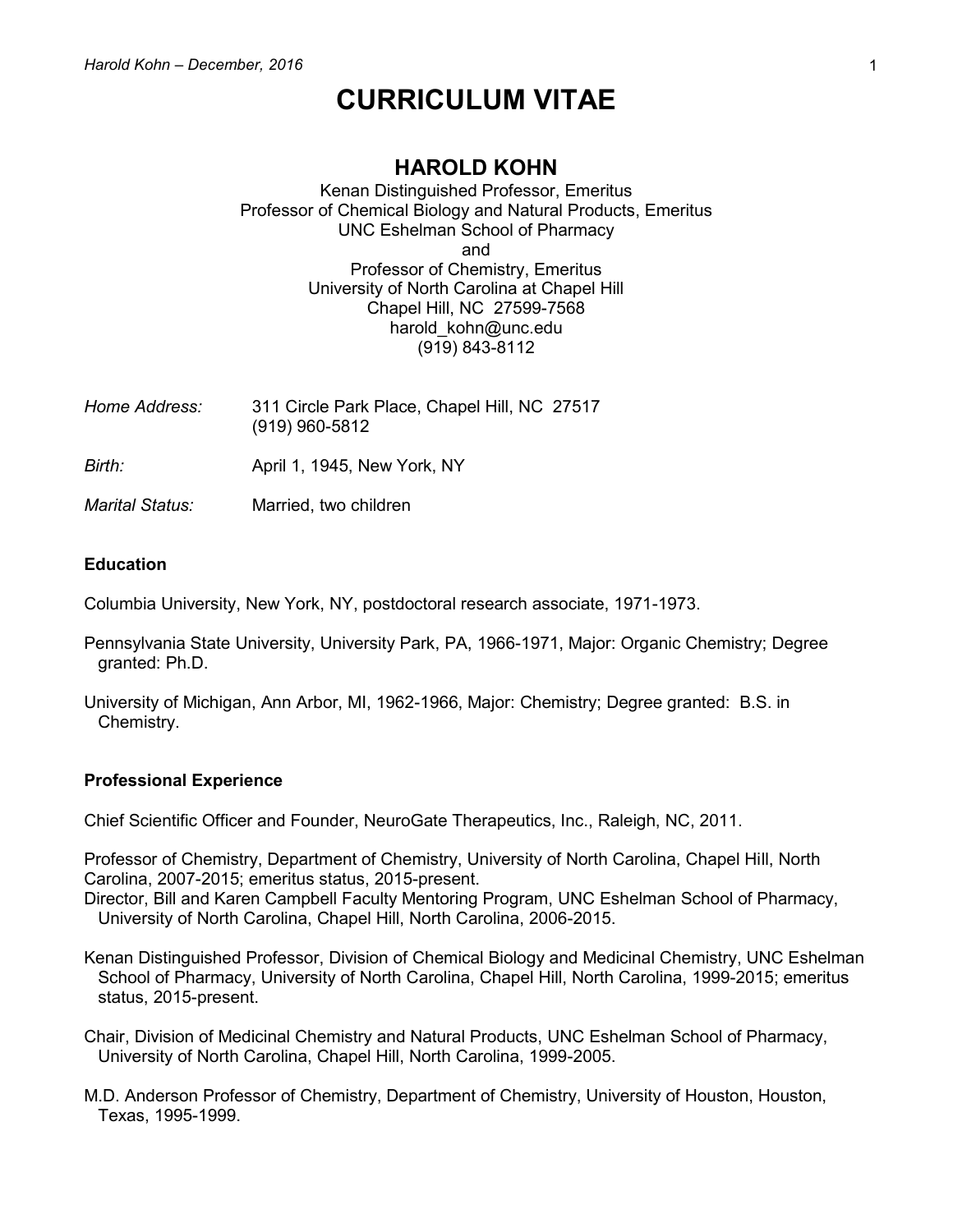# **CURRICULUM VITAE**

## **HAROLD KOHN**

Kenan Distinguished Professor, Emeritus Professor of Chemical Biology and Natural Products, Emeritus UNC Eshelman School of Pharmacy and Professor of Chemistry, Emeritus University of North Carolina at Chapel Hill Chapel Hill, NC 27599-7568 harold kohn@unc.edu (919) 843-8112

- *Home Address:* 311 Circle Park Place, Chapel Hill, NC 27517 (919) 960-5812 *Birth:* **April 1, 1945, New York, NY**
- *Marital Status:* Married, two children

#### **Education**

Columbia University, New York, NY, postdoctoral research associate, 1971-1973.

- Pennsylvania State University, University Park, PA, 1966-1971, Major: Organic Chemistry; Degree granted: Ph.D.
- University of Michigan, Ann Arbor, MI, 1962-1966, Major: Chemistry; Degree granted: B.S. in Chemistry.

#### **Professional Experience**

Chief Scientific Officer and Founder, NeuroGate Therapeutics, Inc., Raleigh, NC, 2011.

Professor of Chemistry, Department of Chemistry, University of North Carolina, Chapel Hill, North Carolina, 2007-2015; emeritus status, 2015-present.

Director, Bill and Karen Campbell Faculty Mentoring Program, UNC Eshelman School of Pharmacy, University of North Carolina, Chapel Hill, North Carolina, 2006-2015.

Kenan Distinguished Professor, Division of Chemical Biology and Medicinal Chemistry, UNC Eshelman School of Pharmacy, University of North Carolina, Chapel Hill, North Carolina, 1999-2015; emeritus status, 2015-present.

Chair, Division of Medicinal Chemistry and Natural Products, UNC Eshelman School of Pharmacy, University of North Carolina, Chapel Hill, North Carolina, 1999-2005.

M.D. Anderson Professor of Chemistry, Department of Chemistry, University of Houston, Houston, Texas, 1995-1999.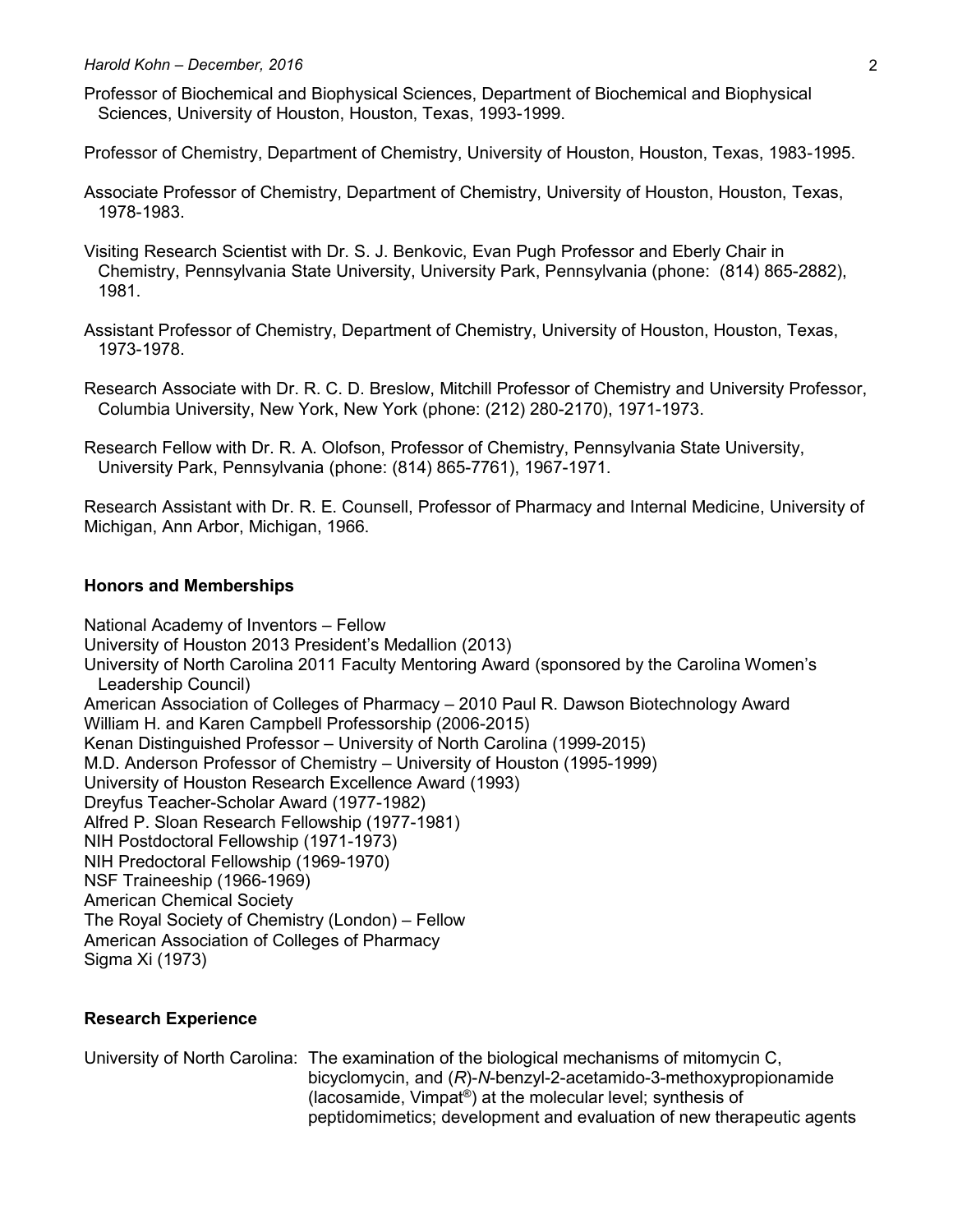Professor of Biochemical and Biophysical Sciences, Department of Biochemical and Biophysical Sciences, University of Houston, Houston, Texas, 1993-1999.

Professor of Chemistry, Department of Chemistry, University of Houston, Houston, Texas, 1983-1995.

Associate Professor of Chemistry, Department of Chemistry, University of Houston, Houston, Texas, 1978-1983.

Visiting Research Scientist with Dr. S. J. Benkovic, Evan Pugh Professor and Eberly Chair in Chemistry, Pennsylvania State University, University Park, Pennsylvania (phone: (814) 865-2882), 1981.

Assistant Professor of Chemistry, Department of Chemistry, University of Houston, Houston, Texas, 1973-1978.

Research Associate with Dr. R. C. D. Breslow, Mitchill Professor of Chemistry and University Professor, Columbia University, New York, New York (phone: (212) 280-2170), 1971-1973.

Research Fellow with Dr. R. A. Olofson, Professor of Chemistry, Pennsylvania State University, University Park, Pennsylvania (phone: (814) 865-7761), 1967-1971.

Research Assistant with Dr. R. E. Counsell, Professor of Pharmacy and Internal Medicine, University of Michigan, Ann Arbor, Michigan, 1966.

## **Honors and Memberships**

National Academy of Inventors – Fellow University of Houston 2013 President's Medallion (2013) University of North Carolina 2011 Faculty Mentoring Award (sponsored by the Carolina Women's Leadership Council) American Association of Colleges of Pharmacy – 2010 Paul R. Dawson Biotechnology Award William H. and Karen Campbell Professorship (2006-2015) Kenan Distinguished Professor – University of North Carolina (1999-2015) M.D. Anderson Professor of Chemistry – University of Houston (1995-1999) University of Houston Research Excellence Award (1993) Dreyfus Teacher-Scholar Award (1977-1982) Alfred P. Sloan Research Fellowship (1977-1981) NIH Postdoctoral Fellowship (1971-1973) NIH Predoctoral Fellowship (1969-1970) NSF Traineeship (1966-1969) American Chemical Society The Royal Society of Chemistry (London) – Fellow American Association of Colleges of Pharmacy Sigma Xi (1973)

## **Research Experience**

University of North Carolina: The examination of the biological mechanisms of mitomycin C, bicyclomycin, and (*R*)-*N*-benzyl-2-acetamido-3-methoxypropionamide (lacosamide, Vimpat® ) at the molecular level; synthesis of peptidomimetics; development and evaluation of new therapeutic agents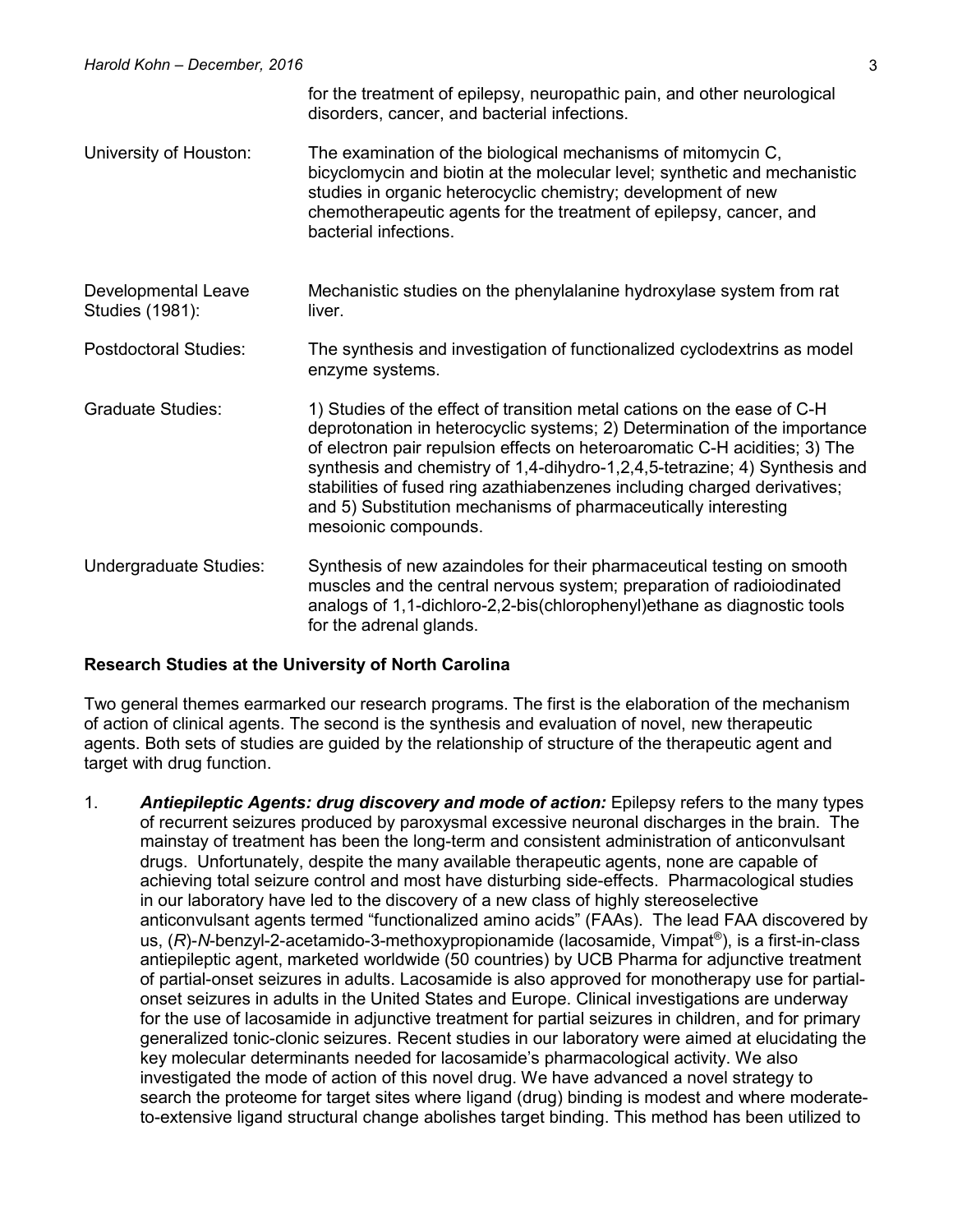|                                        | for the treatment of epilepsy, neuropathic pain, and other neurological<br>disorders, cancer, and bacterial infections.                                                                                                                                                                                                                                                                                                                                                                |
|----------------------------------------|----------------------------------------------------------------------------------------------------------------------------------------------------------------------------------------------------------------------------------------------------------------------------------------------------------------------------------------------------------------------------------------------------------------------------------------------------------------------------------------|
| University of Houston:                 | The examination of the biological mechanisms of mitomycin C,<br>bicyclomycin and biotin at the molecular level; synthetic and mechanistic<br>studies in organic heterocyclic chemistry; development of new<br>chemotherapeutic agents for the treatment of epilepsy, cancer, and<br>bacterial infections.                                                                                                                                                                              |
| Developmental Leave<br>Studies (1981): | Mechanistic studies on the phenylalanine hydroxylase system from rat<br>liver.                                                                                                                                                                                                                                                                                                                                                                                                         |
| <b>Postdoctoral Studies:</b>           | The synthesis and investigation of functionalized cyclodextrins as model<br>enzyme systems.                                                                                                                                                                                                                                                                                                                                                                                            |
| <b>Graduate Studies:</b>               | 1) Studies of the effect of transition metal cations on the ease of C-H<br>deprotonation in heterocyclic systems; 2) Determination of the importance<br>of electron pair repulsion effects on heteroaromatic C-H acidities; 3) The<br>synthesis and chemistry of 1,4-dihydro-1,2,4,5-tetrazine; 4) Synthesis and<br>stabilities of fused ring azathiabenzenes including charged derivatives;<br>and 5) Substitution mechanisms of pharmaceutically interesting<br>mesoionic compounds. |
| Undergraduate Studies:                 | Synthesis of new azaindoles for their pharmaceutical testing on smooth<br>muscles and the central nervous system; preparation of radioiodinated<br>analogs of 1,1-dichloro-2,2-bis(chlorophenyl) ethane as diagnostic tools<br>for the adrenal glands.                                                                                                                                                                                                                                 |

#### **Research Studies at the University of North Carolina**

Two general themes earmarked our research programs. The first is the elaboration of the mechanism of action of clinical agents. The second is the synthesis and evaluation of novel, new therapeutic agents. Both sets of studies are guided by the relationship of structure of the therapeutic agent and target with drug function.

1. *Antiepileptic Agents: drug discovery and mode of action:* Epilepsy refers to the many types of recurrent seizures produced by paroxysmal excessive neuronal discharges in the brain. The mainstay of treatment has been the long-term and consistent administration of anticonvulsant drugs. Unfortunately, despite the many available therapeutic agents, none are capable of achieving total seizure control and most have disturbing side-effects. Pharmacological studies in our laboratory have led to the discovery of a new class of highly stereoselective anticonvulsant agents termed "functionalized amino acids" (FAAs). The lead FAA discovered by us, (*R*)-*N*-benzyl-2-acetamido-3-methoxypropionamide (lacosamide, Vimpat® ), is a first-in-class antiepileptic agent, marketed worldwide (50 countries) by UCB Pharma for adjunctive treatment of partial-onset seizures in adults. Lacosamide is also approved for monotherapy use for partialonset seizures in adults in the United States and Europe. Clinical investigations are underway for the use of lacosamide in adjunctive treatment for partial seizures in children, and for primary generalized tonic-clonic seizures. Recent studies in our laboratory were aimed at elucidating the key molecular determinants needed for lacosamide's pharmacological activity. We also investigated the mode of action of this novel drug. We have advanced a novel strategy to search the proteome for target sites where ligand (drug) binding is modest and where moderateto-extensive ligand structural change abolishes target binding. This method has been utilized to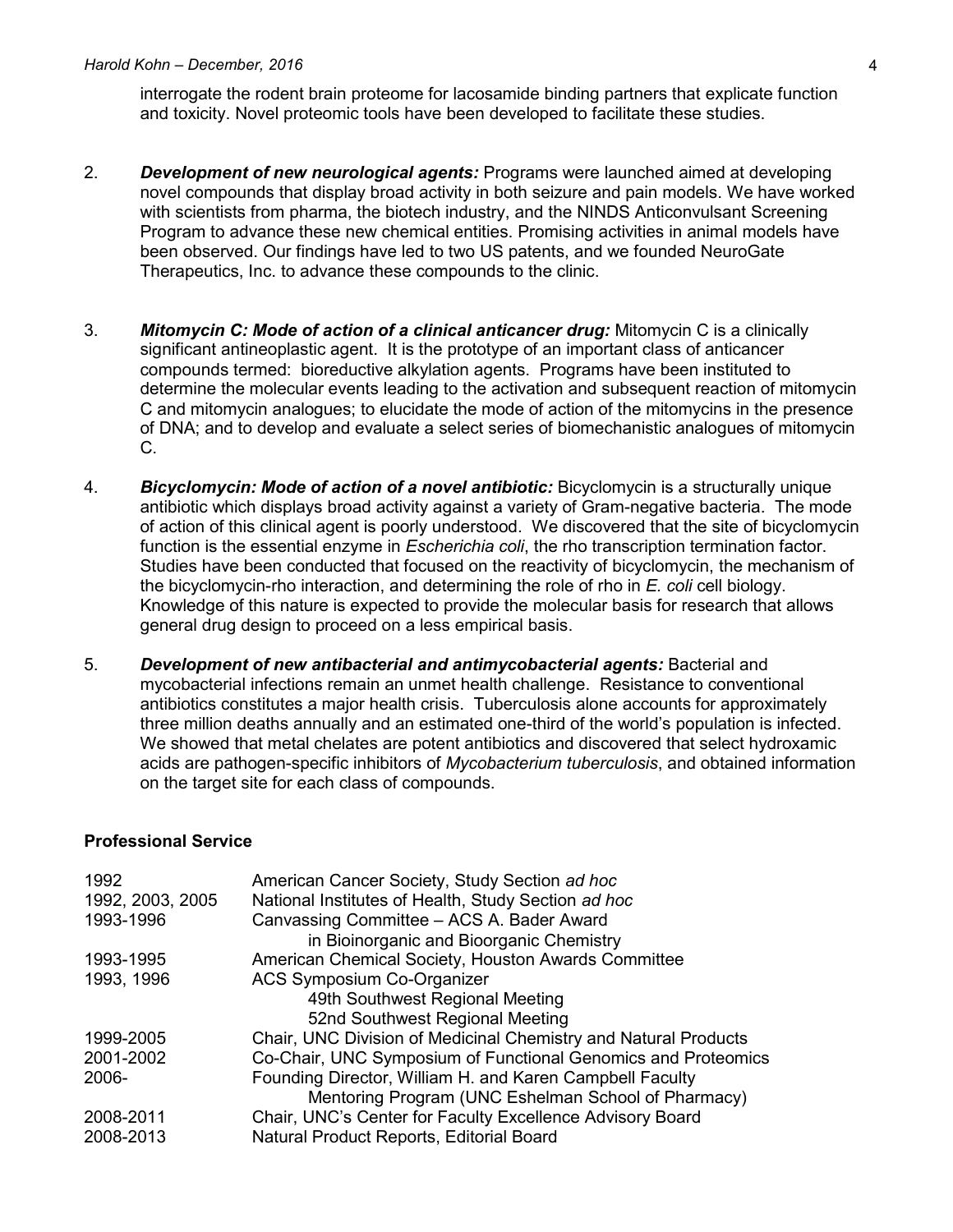interrogate the rodent brain proteome for lacosamide binding partners that explicate function and toxicity. Novel proteomic tools have been developed to facilitate these studies.

- 2. *Development of new neurological agents:* Programs were launched aimed at developing novel compounds that display broad activity in both seizure and pain models. We have worked with scientists from pharma, the biotech industry, and the NINDS Anticonvulsant Screening Program to advance these new chemical entities. Promising activities in animal models have been observed. Our findings have led to two US patents, and we founded NeuroGate Therapeutics, Inc. to advance these compounds to the clinic.
- 3. *Mitomycin C: Mode of action of a clinical anticancer drug:* Mitomycin C is a clinically significant antineoplastic agent. It is the prototype of an important class of anticancer compounds termed: bioreductive alkylation agents. Programs have been instituted to determine the molecular events leading to the activation and subsequent reaction of mitomycin C and mitomycin analogues; to elucidate the mode of action of the mitomycins in the presence of DNA; and to develop and evaluate a select series of biomechanistic analogues of mitomycin C.
- 4. *Bicyclomycin: Mode of action of a novel antibiotic:* Bicyclomycin is a structurally unique antibiotic which displays broad activity against a variety of Gram-negative bacteria. The mode of action of this clinical agent is poorly understood. We discovered that the site of bicyclomycin function is the essential enzyme in *Escherichia coli*, the rho transcription termination factor. Studies have been conducted that focused on the reactivity of bicyclomycin, the mechanism of the bicyclomycin-rho interaction, and determining the role of rho in *E. coli* cell biology. Knowledge of this nature is expected to provide the molecular basis for research that allows general drug design to proceed on a less empirical basis.
- 5. *Development of new antibacterial and antimycobacterial agents:* Bacterial and mycobacterial infections remain an unmet health challenge. Resistance to conventional antibiotics constitutes a major health crisis. Tuberculosis alone accounts for approximately three million deaths annually and an estimated one-third of the world's population is infected. We showed that metal chelates are potent antibiotics and discovered that select hydroxamic acids are pathogen-specific inhibitors of *Mycobacterium tuberculosis*, and obtained information on the target site for each class of compounds.

#### **Professional Service**

| 1992<br>1992, 2003, 2005 | American Cancer Society, Study Section ad hoc<br>National Institutes of Health, Study Section ad hoc |
|--------------------------|------------------------------------------------------------------------------------------------------|
| 1993-1996                | Canvassing Committee - ACS A. Bader Award                                                            |
|                          | in Bioinorganic and Bioorganic Chemistry                                                             |
| 1993-1995                | American Chemical Society, Houston Awards Committee                                                  |
| 1993, 1996               | <b>ACS Symposium Co-Organizer</b>                                                                    |
|                          | 49th Southwest Regional Meeting                                                                      |
|                          | 52nd Southwest Regional Meeting                                                                      |
| 1999-2005                | Chair, UNC Division of Medicinal Chemistry and Natural Products                                      |
| 2001-2002                | Co-Chair, UNC Symposium of Functional Genomics and Proteomics                                        |
| 2006-                    | Founding Director, William H. and Karen Campbell Faculty                                             |
|                          | Mentoring Program (UNC Eshelman School of Pharmacy)                                                  |
| 2008-2011                | Chair, UNC's Center for Faculty Excellence Advisory Board                                            |
| 2008-2013                | Natural Product Reports, Editorial Board                                                             |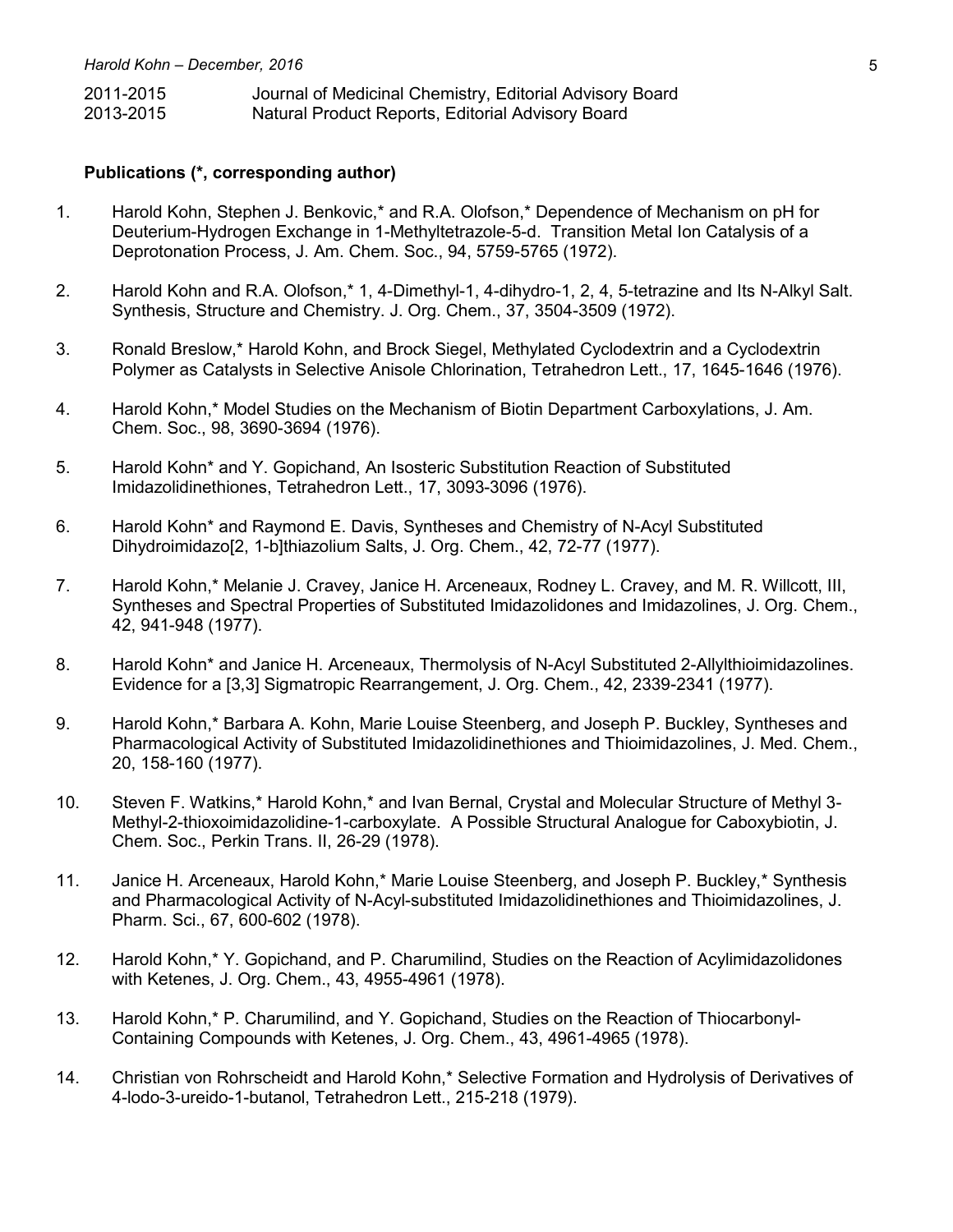| 2011-2015 | Journal of Medicinal Chemistry, Editorial Advisory Board |
|-----------|----------------------------------------------------------|
| 2013-2015 | Natural Product Reports, Editorial Advisory Board        |

#### **Publications (\*, corresponding author)**

- 1. Harold Kohn, Stephen J. Benkovic,\* and R.A. Olofson,\* Dependence of Mechanism on pH for Deuterium-Hydrogen Exchange in 1-Methyltetrazole-5-d. Transition Metal Ion Catalysis of a Deprotonation Process, J. Am. Chem. Soc., 94, 5759-5765 (1972).
- 2. Harold Kohn and R.A. Olofson,\* 1, 4-Dimethyl-1, 4-dihydro-1, 2, 4, 5-tetrazine and Its N-Alkyl Salt. Synthesis, Structure and Chemistry. J. Org. Chem., 37, 3504-3509 (1972).
- 3. Ronald Breslow,\* Harold Kohn, and Brock Siegel, Methylated Cyclodextrin and a Cyclodextrin Polymer as Catalysts in Selective Anisole Chlorination, Tetrahedron Lett., 17, 1645-1646 (1976).
- 4. Harold Kohn,\* Model Studies on the Mechanism of Biotin Department Carboxylations, J. Am. Chem. Soc., 98, 3690-3694 (1976).
- 5. Harold Kohn\* and Y. Gopichand, An Isosteric Substitution Reaction of Substituted Imidazolidinethiones, Tetrahedron Lett., 17, 3093-3096 (1976).
- 6. Harold Kohn\* and Raymond E. Davis, Syntheses and Chemistry of N-Acyl Substituted Dihydroimidazo[2, 1-b]thiazolium Salts, J. Org. Chem., 42, 72-77 (1977).
- 7. Harold Kohn,\* Melanie J. Cravey, Janice H. Arceneaux, Rodney L. Cravey, and M. R. Willcott, III, Syntheses and Spectral Properties of Substituted Imidazolidones and Imidazolines, J. Org. Chem., 42, 941-948 (1977).
- 8. Harold Kohn\* and Janice H. Arceneaux, Thermolysis of N-Acyl Substituted 2-Allylthioimidazolines. Evidence for a [3,3] Sigmatropic Rearrangement, J. Org. Chem., 42, 2339-2341 (1977).
- 9. Harold Kohn,\* Barbara A. Kohn, Marie Louise Steenberg, and Joseph P. Buckley, Syntheses and Pharmacological Activity of Substituted Imidazolidinethiones and Thioimidazolines, J. Med. Chem., 20, 158-160 (1977).
- 10. Steven F. Watkins,\* Harold Kohn,\* and Ivan Bernal, Crystal and Molecular Structure of Methyl 3- Methyl-2-thioxoimidazolidine-1-carboxylate. A Possible Structural Analogue for Caboxybiotin, J. Chem. Soc., Perkin Trans. II, 26-29 (1978).
- 11. Janice H. Arceneaux, Harold Kohn,\* Marie Louise Steenberg, and Joseph P. Buckley,\* Synthesis and Pharmacological Activity of N-Acyl-substituted Imidazolidinethiones and Thioimidazolines, J. Pharm. Sci., 67, 600-602 (1978).
- 12. Harold Kohn,\* Y. Gopichand, and P. Charumilind, Studies on the Reaction of Acylimidazolidones with Ketenes, J. Org. Chem., 43, 4955-4961 (1978).
- 13. Harold Kohn,\* P. Charumilind, and Y. Gopichand, Studies on the Reaction of Thiocarbonyl-Containing Compounds with Ketenes, J. Org. Chem., 43, 4961-4965 (1978).
- 14. Christian von Rohrscheidt and Harold Kohn,\* Selective Formation and Hydrolysis of Derivatives of 4-lodo-3-ureido-1-butanol, Tetrahedron Lett., 215-218 (1979).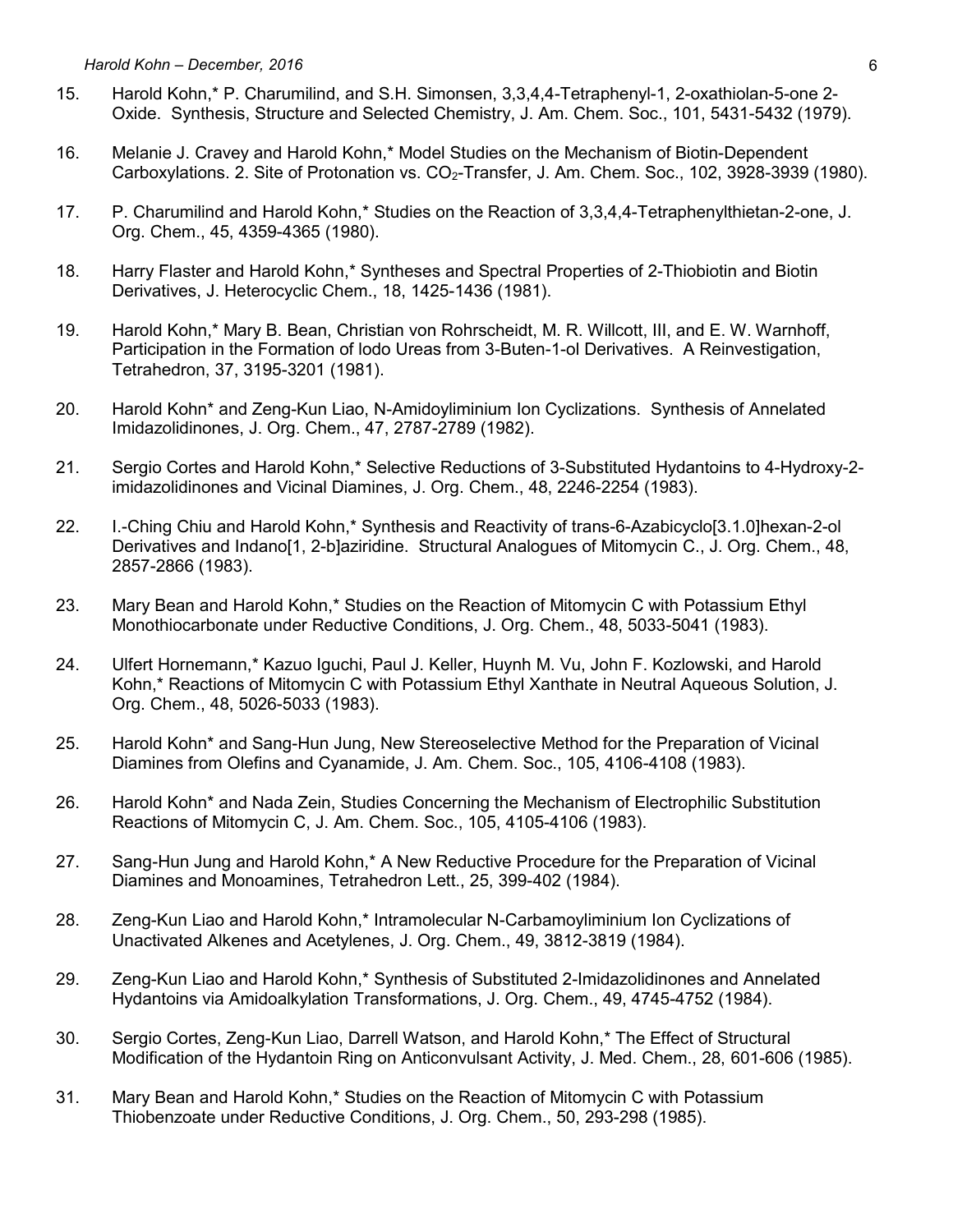- 15. Harold Kohn,\* P. Charumilind, and S.H. Simonsen, 3,3,4,4-Tetraphenyl-1, 2-oxathiolan-5-one 2- Oxide. Synthesis, Structure and Selected Chemistry, J. Am. Chem. Soc., 101, 5431-5432 (1979).
- 16. Melanie J. Cravey and Harold Kohn,\* Model Studies on the Mechanism of Biotin-Dependent Carboxylations. 2. Site of Protonation vs. CO<sub>2</sub>-Transfer, J. Am. Chem. Soc., 102, 3928-3939 (1980).
- 17. P. Charumilind and Harold Kohn,\* Studies on the Reaction of 3,3,4,4-Tetraphenylthietan-2-one, J. Org. Chem., 45, 4359-4365 (1980).
- 18. Harry Flaster and Harold Kohn,\* Syntheses and Spectral Properties of 2-Thiobiotin and Biotin Derivatives, J. Heterocyclic Chem., 18, 1425-1436 (1981).
- 19. Harold Kohn,\* Mary B. Bean, Christian von Rohrscheidt, M. R. Willcott, III, and E. W. Warnhoff, Participation in the Formation of lodo Ureas from 3-Buten-1-ol Derivatives. A Reinvestigation, Tetrahedron, 37, 3195-3201 (1981).
- 20. Harold Kohn\* and Zeng-Kun Liao, N-Amidoyliminium Ion Cyclizations. Synthesis of Annelated Imidazolidinones, J. Org. Chem., 47, 2787-2789 (1982).
- 21. Sergio Cortes and Harold Kohn,\* Selective Reductions of 3-Substituted Hydantoins to 4-Hydroxy-2 imidazolidinones and Vicinal Diamines, J. Org. Chem., 48, 2246-2254 (1983).
- 22. I.-Ching Chiu and Harold Kohn,\* Synthesis and Reactivity of trans-6-Azabicyclo[3.1.0]hexan-2-ol Derivatives and Indano[1, 2-b]aziridine. Structural Analogues of Mitomycin C., J. Org. Chem., 48, 2857-2866 (1983).
- 23. Mary Bean and Harold Kohn,\* Studies on the Reaction of Mitomycin C with Potassium Ethyl Monothiocarbonate under Reductive Conditions, J. Org. Chem., 48, 5033-5041 (1983).
- 24. Ulfert Hornemann,\* Kazuo Iguchi, Paul J. Keller, Huynh M. Vu, John F. Kozlowski, and Harold Kohn,\* Reactions of Mitomycin C with Potassium Ethyl Xanthate in Neutral Aqueous Solution, J. Org. Chem., 48, 5026-5033 (1983).
- 25. Harold Kohn\* and Sang-Hun Jung, New Stereoselective Method for the Preparation of Vicinal Diamines from Olefins and Cyanamide, J. Am. Chem. Soc., 105, 4106-4108 (1983).
- 26. Harold Kohn\* and Nada Zein, Studies Concerning the Mechanism of Electrophilic Substitution Reactions of Mitomycin C, J. Am. Chem. Soc., 105, 4105-4106 (1983).
- 27. Sang-Hun Jung and Harold Kohn,\* A New Reductive Procedure for the Preparation of Vicinal Diamines and Monoamines, Tetrahedron Lett., 25, 399-402 (1984).
- 28. Zeng-Kun Liao and Harold Kohn,\* Intramolecular N-Carbamoyliminium Ion Cyclizations of Unactivated Alkenes and Acetylenes, J. Org. Chem., 49, 3812-3819 (1984).
- 29. Zeng-Kun Liao and Harold Kohn,\* Synthesis of Substituted 2-Imidazolidinones and Annelated Hydantoins via Amidoalkylation Transformations, J. Org. Chem., 49, 4745-4752 (1984).
- 30. Sergio Cortes, Zeng-Kun Liao, Darrell Watson, and Harold Kohn,\* The Effect of Structural Modification of the Hydantoin Ring on Anticonvulsant Activity, J. Med. Chem., 28, 601-606 (1985).
- 31. Mary Bean and Harold Kohn,\* Studies on the Reaction of Mitomycin C with Potassium Thiobenzoate under Reductive Conditions, J. Org. Chem., 50, 293-298 (1985).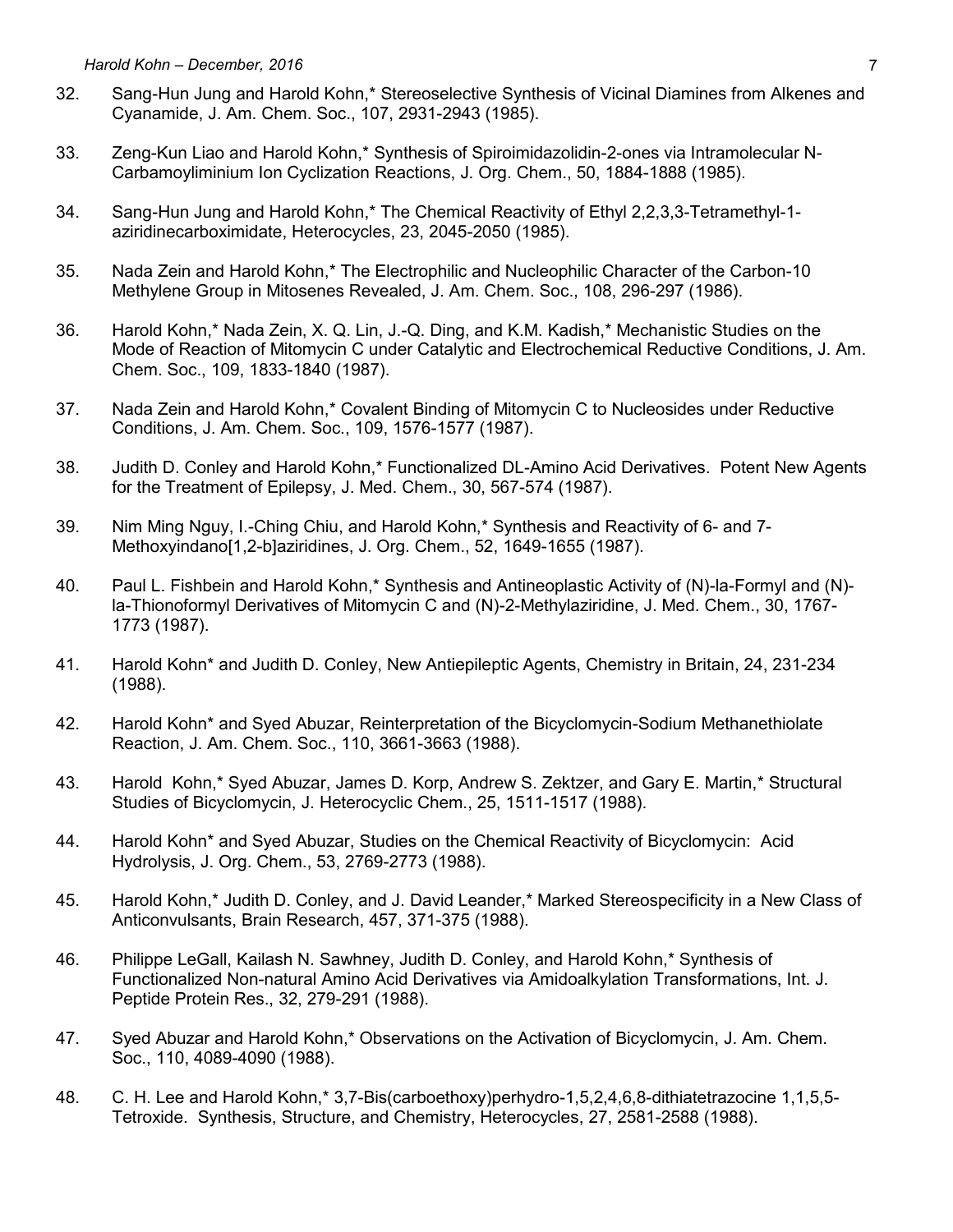- 32. Sang-Hun Jung and Harold Kohn,\* Stereoselective Synthesis of Vicinal Diamines from Alkenes and Cyanamide, J. Am. Chem. Soc., 107, 2931-2943 (1985).
- 33. Zeng-Kun Liao and Harold Kohn,\* Synthesis of Spiroimidazolidin-2-ones via Intramolecular N-Carbamoyliminium Ion Cyclization Reactions, J. Org. Chem., 50, 1884-1888 (1985).
- 34. Sang-Hun Jung and Harold Kohn,\* The Chemical Reactivity of Ethyl 2,2,3,3-Tetramethyl-1 aziridinecarboximidate, Heterocycles, 23, 2045-2050 (1985).
- 35. Nada Zein and Harold Kohn,\* The Electrophilic and Nucleophilic Character of the Carbon-10 Methylene Group in Mitosenes Revealed, J. Am. Chem. Soc., 108, 296-297 (1986).
- 36. Harold Kohn,\* Nada Zein, X. Q. Lin, J.-Q. Ding, and K.M. Kadish,\* Mechanistic Studies on the Mode of Reaction of Mitomycin C under Catalytic and Electrochemical Reductive Conditions, J. Am. Chem. Soc., 109, 1833-1840 (1987).
- 37. Nada Zein and Harold Kohn,\* Covalent Binding of Mitomycin C to Nucleosides under Reductive Conditions, J. Am. Chem. Soc., 109, 1576-1577 (1987).
- 38. Judith D. Conley and Harold Kohn,\* Functionalized DL-Amino Acid Derivatives. Potent New Agents for the Treatment of Epilepsy, J. Med. Chem., 30, 567-574 (1987).
- 39. Nim Ming Nguy, I.-Ching Chiu, and Harold Kohn,\* Synthesis and Reactivity of 6- and 7- Methoxyindano[1,2-b]aziridines, J. Org. Chem., 52, 1649-1655 (1987).
- 40. Paul L. Fishbein and Harold Kohn,\* Synthesis and Antineoplastic Activity of (N)-la-Formyl and (N) la-Thionoformyl Derivatives of Mitomycin C and (N)-2-Methylaziridine, J. Med. Chem., 30, 1767- 1773 (1987).
- 41. Harold Kohn\* and Judith D. Conley, New Antiepileptic Agents, Chemistry in Britain, 24, 231-234 (1988).
- 42. Harold Kohn\* and Syed Abuzar, Reinterpretation of the Bicyclomycin-Sodium Methanethiolate Reaction, J. Am. Chem. Soc., 110, 3661-3663 (1988).
- 43. Harold Kohn,\* Syed Abuzar, James D. Korp, Andrew S. Zektzer, and Gary E. Martin,\* Structural Studies of Bicyclomycin, J. Heterocyclic Chem., 25, 1511-1517 (1988).
- 44. Harold Kohn\* and Syed Abuzar, Studies on the Chemical Reactivity of Bicyclomycin: Acid Hydrolysis, J. Org. Chem., 53, 2769-2773 (1988).
- 45. Harold Kohn,\* Judith D. Conley, and J. David Leander,\* Marked Stereospecificity in a New Class of Anticonvulsants, Brain Research, 457, 371-375 (1988).
- 46. Philippe LeGall, Kailash N. Sawhney, Judith D. Conley, and Harold Kohn,\* Synthesis of Functionalized Non-natural Amino Acid Derivatives via Amidoalkylation Transformations, Int. J. Peptide Protein Res., 32, 279-291 (1988).
- 47. Syed Abuzar and Harold Kohn,\* Observations on the Activation of Bicyclomycin, J. Am. Chem. Soc., 110, 4089-4090 (1988).
- 48. C. H. Lee and Harold Kohn,\* 3,7-Bis(carboethoxy)perhydro-1,5,2,4,6,8-dithiatetrazocine 1,1,5,5- Tetroxide. Synthesis, Structure, and Chemistry, Heterocycles, 27, 2581-2588 (1988).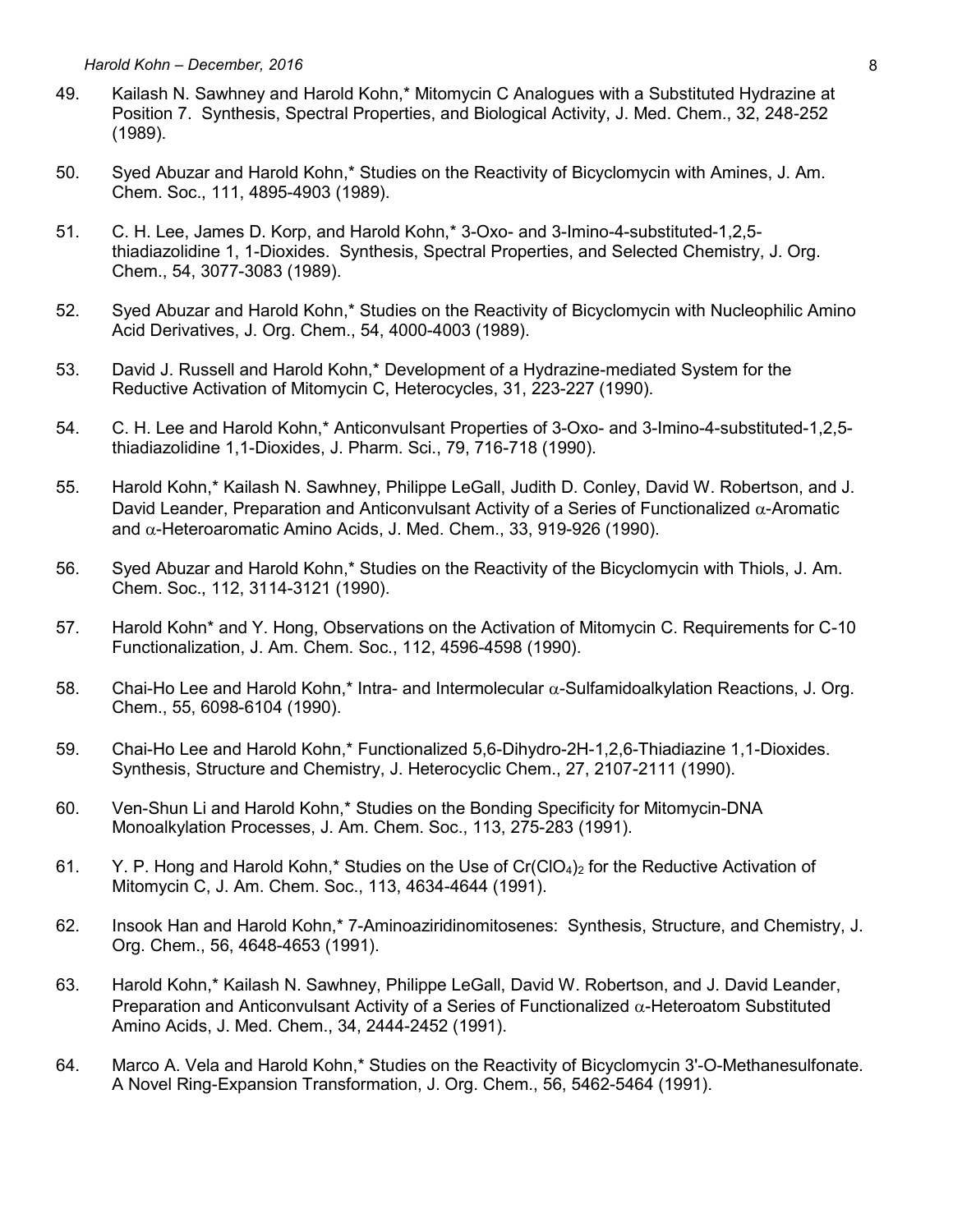- 49. Kailash N. Sawhney and Harold Kohn,\* Mitomycin C Analogues with a Substituted Hydrazine at Position 7. Synthesis, Spectral Properties, and Biological Activity, J. Med. Chem., 32, 248-252 (1989).
- 50. Syed Abuzar and Harold Kohn,\* Studies on the Reactivity of Bicyclomycin with Amines, J. Am. Chem. Soc., 111, 4895-4903 (1989).
- 51. C. H. Lee, James D. Korp, and Harold Kohn,\* 3-Oxo- and 3-Imino-4-substituted-1,2,5 thiadiazolidine 1, 1-Dioxides. Synthesis, Spectral Properties, and Selected Chemistry, J. Org. Chem., 54, 3077-3083 (1989).
- 52. Syed Abuzar and Harold Kohn,\* Studies on the Reactivity of Bicyclomycin with Nucleophilic Amino Acid Derivatives, J. Org. Chem., 54, 4000-4003 (1989).
- 53. David J. Russell and Harold Kohn,\* Development of a Hydrazine-mediated System for the Reductive Activation of Mitomycin C, Heterocycles, 31, 223-227 (1990).
- 54. C. H. Lee and Harold Kohn,\* Anticonvulsant Properties of 3-Oxo- and 3-Imino-4-substituted-1,2,5 thiadiazolidine 1,1-Dioxides, J. Pharm. Sci., 79, 716-718 (1990).
- 55. Harold Kohn,\* Kailash N. Sawhney, Philippe LeGall, Judith D. Conley, David W. Robertson, and J. David Leander, Preparation and Anticonvulsant Activity of a Series of Functionalized  $\alpha$ -Aromatic and  $\alpha$ -Heteroaromatic Amino Acids, J. Med. Chem., 33, 919-926 (1990).
- 56. Syed Abuzar and Harold Kohn,\* Studies on the Reactivity of the Bicyclomycin with Thiols, J. Am. Chem. Soc., 112, 3114-3121 (1990).
- 57. Harold Kohn\* and Y. Hong, Observations on the Activation of Mitomycin C. Requirements for C-10 Functionalization, J. Am. Chem. Soc., 112, 4596-4598 (1990).
- 58. Chai-Ho Lee and Harold Kohn,\* Intra- and Intermolecular  $\alpha$ -Sulfamidoalkylation Reactions, J. Org. Chem., 55, 6098-6104 (1990).
- 59. Chai-Ho Lee and Harold Kohn,\* Functionalized 5,6-Dihydro-2H-1,2,6-Thiadiazine 1,1-Dioxides. Synthesis, Structure and Chemistry, J. Heterocyclic Chem., 27, 2107-2111 (1990).
- 60. Ven-Shun Li and Harold Kohn,\* Studies on the Bonding Specificity for Mitomycin-DNA Monoalkylation Processes, J. Am. Chem. Soc., 113, 275-283 (1991).
- 61. Y. P. Hong and Harold Kohn,\* Studies on the Use of  $Cr(CO<sub>4</sub>)<sub>2</sub>$  for the Reductive Activation of Mitomycin C, J. Am. Chem. Soc., 113, 4634-4644 (1991).
- 62. Insook Han and Harold Kohn,\* 7-Aminoaziridinomitosenes: Synthesis, Structure, and Chemistry, J. Org. Chem., 56, 4648-4653 (1991).
- 63. Harold Kohn,\* Kailash N. Sawhney, Philippe LeGall, David W. Robertson, and J. David Leander, Preparation and Anticonvulsant Activity of a Series of Functionalized  $\alpha$ -Heteroatom Substituted Amino Acids, J. Med. Chem., 34, 2444-2452 (1991).
- 64. Marco A. Vela and Harold Kohn,\* Studies on the Reactivity of Bicyclomycin 3'-O-Methanesulfonate. A Novel Ring-Expansion Transformation, J. Org. Chem., 56, 5462-5464 (1991).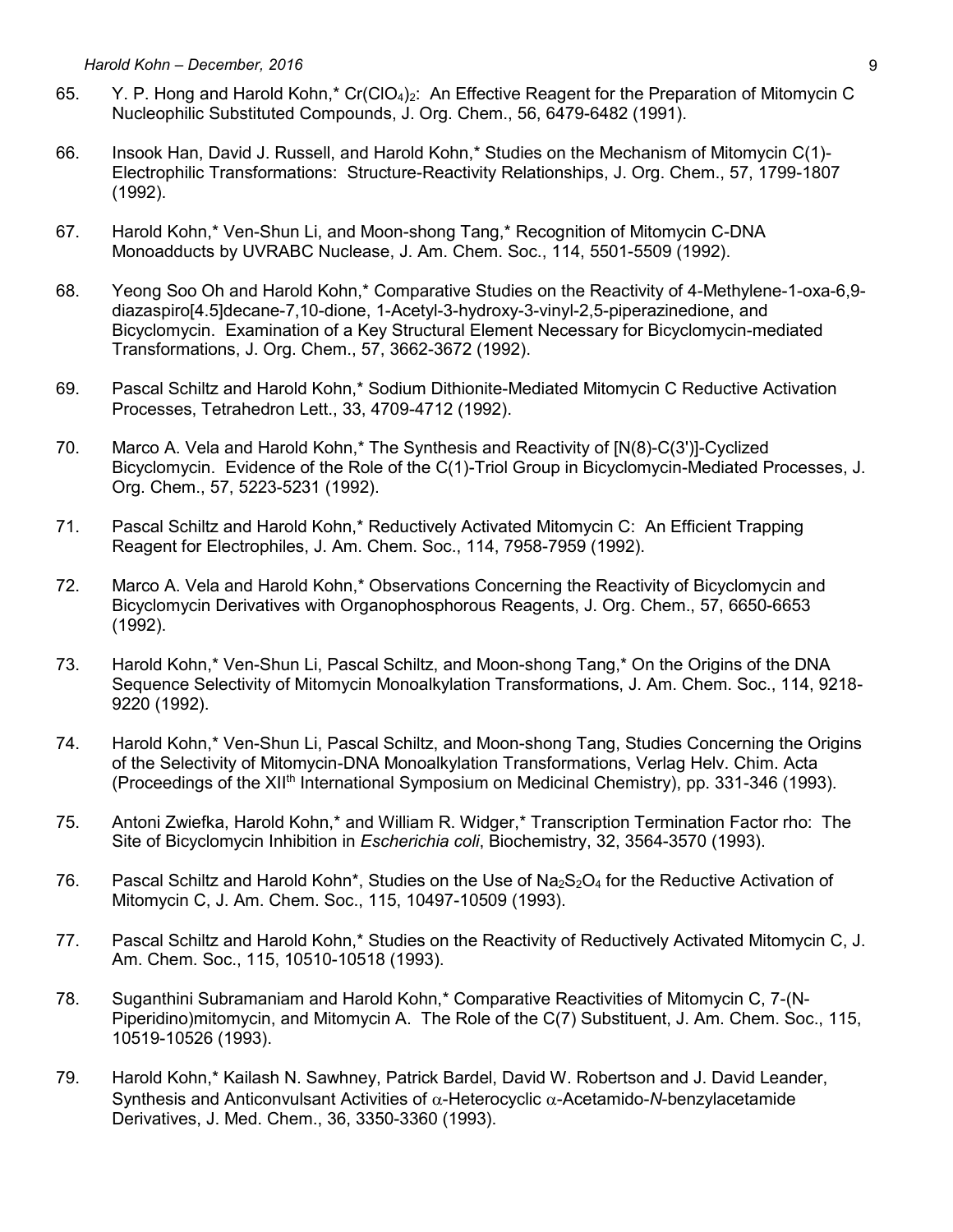- 65. Y. P. Hong and Harold Kohn,\* Cr(ClO<sub>4</sub>)<sub>2</sub>: An Effective Reagent for the Preparation of Mitomycin C Nucleophilic Substituted Compounds, J. Org. Chem., 56, 6479-6482 (1991).
- 66. Insook Han, David J. Russell, and Harold Kohn,\* Studies on the Mechanism of Mitomycin C(1)- Electrophilic Transformations: Structure-Reactivity Relationships, J. Org. Chem., 57, 1799-1807 (1992).
- 67. Harold Kohn,\* Ven-Shun Li, and Moon-shong Tang,\* Recognition of Mitomycin C-DNA Monoadducts by UVRABC Nuclease, J. Am. Chem. Soc., 114, 5501-5509 (1992).
- 68. Yeong Soo Oh and Harold Kohn,\* Comparative Studies on the Reactivity of 4-Methylene-1-oxa-6,9 diazaspiro[4.5]decane-7,10-dione, 1-Acetyl-3-hydroxy-3-vinyl-2,5-piperazinedione, and Bicyclomycin. Examination of a Key Structural Element Necessary for Bicyclomycin-mediated Transformations, J. Org. Chem., 57, 3662-3672 (1992).
- 69. Pascal Schiltz and Harold Kohn,\* Sodium Dithionite-Mediated Mitomycin C Reductive Activation Processes, Tetrahedron Lett., 33, 4709-4712 (1992).
- 70. Marco A. Vela and Harold Kohn,\* The Synthesis and Reactivity of [N(8)-C(3')]-Cyclized Bicyclomycin. Evidence of the Role of the C(1)-Triol Group in Bicyclomycin-Mediated Processes, J. Org. Chem., 57, 5223-5231 (1992).
- 71. Pascal Schiltz and Harold Kohn,\* Reductively Activated Mitomycin C: An Efficient Trapping Reagent for Electrophiles, J. Am. Chem. Soc., 114, 7958-7959 (1992).
- 72. Marco A. Vela and Harold Kohn,\* Observations Concerning the Reactivity of Bicyclomycin and Bicyclomycin Derivatives with Organophosphorous Reagents, J. Org. Chem., 57, 6650-6653 (1992).
- 73. Harold Kohn,\* Ven-Shun Li, Pascal Schiltz, and Moon-shong Tang,\* On the Origins of the DNA Sequence Selectivity of Mitomycin Monoalkylation Transformations, J. Am. Chem. Soc., 114, 9218- 9220 (1992).
- 74. Harold Kohn,\* Ven-Shun Li, Pascal Schiltz, and Moon-shong Tang, Studies Concerning the Origins of the Selectivity of Mitomycin-DNA Monoalkylation Transformations, Verlag Helv. Chim. Acta (Proceedings of the XIIth International Symposium on Medicinal Chemistry), pp. 331-346 (1993).
- 75. Antoni Zwiefka, Harold Kohn,\* and William R. Widger,\* Transcription Termination Factor rho: The Site of Bicyclomycin Inhibition in *Escherichia coli*, Biochemistry, 32, 3564-3570 (1993).
- 76. Pascal Schiltz and Harold Kohn\*, Studies on the Use of Na<sub>2</sub>S<sub>2</sub>O<sub>4</sub> for the Reductive Activation of Mitomycin C, J. Am. Chem. Soc., 115, 10497-10509 (1993).
- 77. Pascal Schiltz and Harold Kohn,\* Studies on the Reactivity of Reductively Activated Mitomycin C, J. Am. Chem. Soc., 115, 10510-10518 (1993).
- 78. Suganthini Subramaniam and Harold Kohn,\* Comparative Reactivities of Mitomycin C, 7-(N-Piperidino)mitomycin, and Mitomycin A. The Role of the C(7) Substituent, J. Am. Chem. Soc., 115, 10519-10526 (1993).
- 79. Harold Kohn,\* Kailash N. Sawhney, Patrick Bardel, David W. Robertson and J. David Leander, Synthesis and Anticonvulsant Activities of  $\alpha$ -Heterocyclic  $\alpha$ -Acetamido-*N*-benzylacetamide Derivatives, J. Med. Chem., 36, 3350-3360 (1993).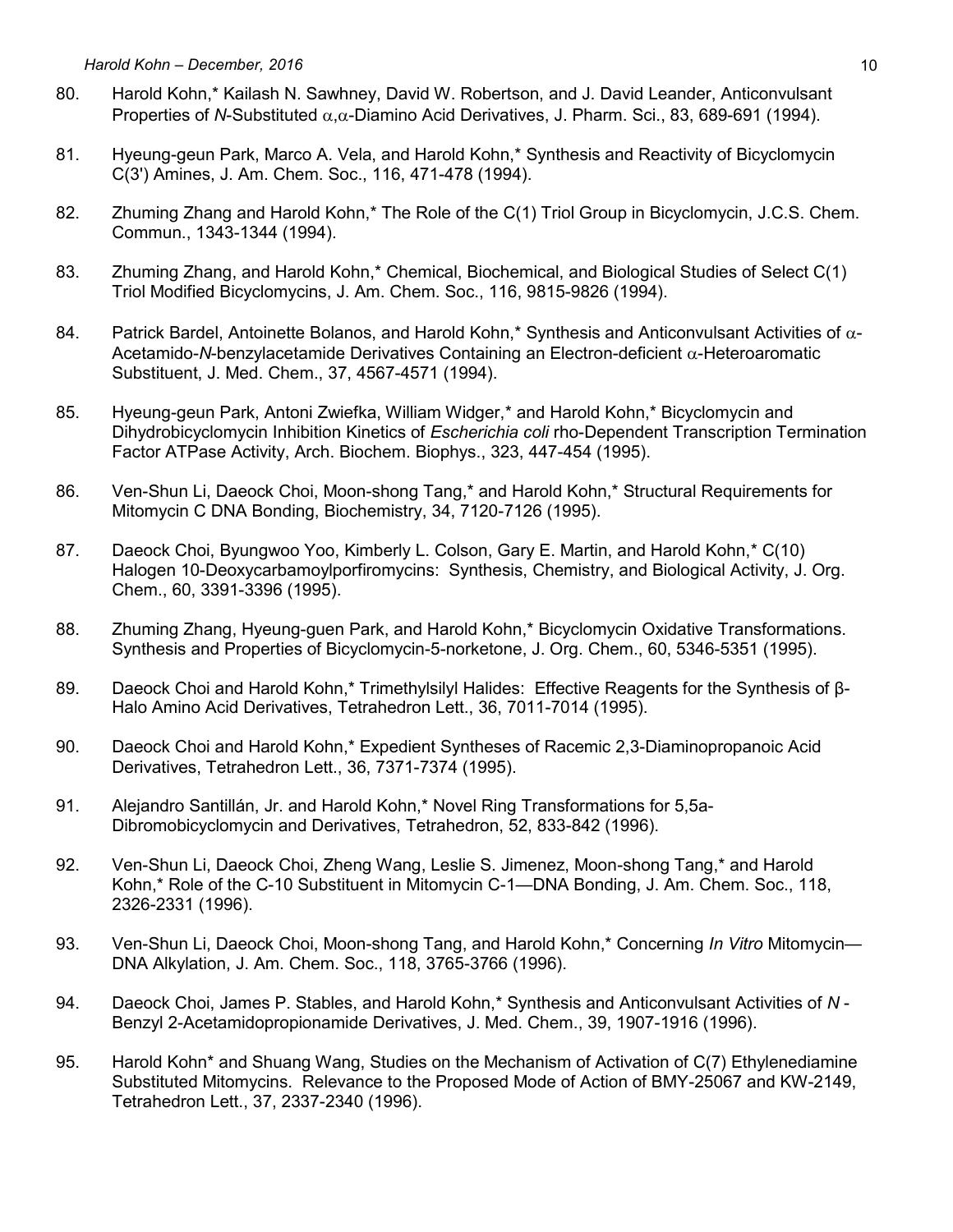- 80. Harold Kohn,\* Kailash N. Sawhney, David W. Robertson, and J. David Leander, Anticonvulsant Properties of *N*-Substituted  $\alpha$ , $\alpha$ -Diamino Acid Derivatives, J. Pharm. Sci., 83, 689-691 (1994).
- 81. Hyeung-geun Park, Marco A. Vela, and Harold Kohn,\* Synthesis and Reactivity of Bicyclomycin C(3') Amines, J. Am. Chem. Soc., 116, 471-478 (1994).
- 82. Zhuming Zhang and Harold Kohn,<sup>\*</sup> The Role of the C(1) Triol Group in Bicyclomycin, J.C.S. Chem. Commun., 1343-1344 (1994).
- 83. Zhuming Zhang, and Harold Kohn,\* Chemical, Biochemical, and Biological Studies of Select C(1) Triol Modified Bicyclomycins, J. Am. Chem. Soc., 116, 9815-9826 (1994).
- 84. Patrick Bardel, Antoinette Bolanos, and Harold Kohn,\* Synthesis and Anticonvulsant Activities of  $\alpha$ -Acetamido-*N*-benzylacetamide Derivatives Containing an Electron-deficient  $\alpha$ -Heteroaromatic Substituent, J. Med. Chem., 37, 4567-4571 (1994).
- 85. Hyeung-geun Park, Antoni Zwiefka, William Widger,\* and Harold Kohn,\* Bicyclomycin and Dihydrobicyclomycin Inhibition Kinetics of *Escherichia coli* rho-Dependent Transcription Termination Factor ATPase Activity, Arch. Biochem. Biophys., 323, 447-454 (1995).
- 86. Ven-Shun Li, Daeock Choi, Moon-shong Tang,\* and Harold Kohn,\* Structural Requirements for Mitomycin C DNA Bonding, Biochemistry, 34, 7120-7126 (1995).
- 87. Daeock Choi, Byungwoo Yoo, Kimberly L. Colson, Gary E. Martin, and Harold Kohn,\* C(10) Halogen 10-Deoxycarbamoylporfiromycins: Synthesis, Chemistry, and Biological Activity, J. Org. Chem., 60, 3391-3396 (1995).
- 88. Zhuming Zhang, Hyeung-guen Park, and Harold Kohn,\* Bicyclomycin Oxidative Transformations. Synthesis and Properties of Bicyclomycin-5-norketone, J. Org. Chem., 60, 5346-5351 (1995).
- 89. Daeock Choi and Harold Kohn,\* Trimethylsilyl Halides: Effective Reagents for the Synthesis of β-Halo Amino Acid Derivatives, Tetrahedron Lett., 36, 7011-7014 (1995).
- 90. Daeock Choi and Harold Kohn,\* Expedient Syntheses of Racemic 2,3-Diaminopropanoic Acid Derivatives, Tetrahedron Lett., 36, 7371-7374 (1995).
- 91. Alejandro Santillán, Jr. and Harold Kohn,\* Novel Ring Transformations for 5,5a-Dibromobicyclomycin and Derivatives, Tetrahedron, 52, 833-842 (1996).
- 92. Ven-Shun Li, Daeock Choi, Zheng Wang, Leslie S. Jimenez, Moon-shong Tang,\* and Harold Kohn,\* Role of the C-10 Substituent in Mitomycin C-1—DNA Bonding, J. Am. Chem. Soc., 118, 2326-2331 (1996).
- 93. Ven-Shun Li, Daeock Choi, Moon-shong Tang, and Harold Kohn,\* Concerning *In Vitro* Mitomycin— DNA Alkylation, J. Am. Chem. Soc., 118, 3765-3766 (1996).
- 94. Daeock Choi, James P. Stables, and Harold Kohn,\* Synthesis and Anticonvulsant Activities of *N* Benzyl 2-Acetamidopropionamide Derivatives, J. Med. Chem., 39, 1907-1916 (1996).
- 95. Harold Kohn\* and Shuang Wang, Studies on the Mechanism of Activation of C(7) Ethylenediamine Substituted Mitomycins. Relevance to the Proposed Mode of Action of BMY-25067 and KW-2149, Tetrahedron Lett., 37, 2337-2340 (1996).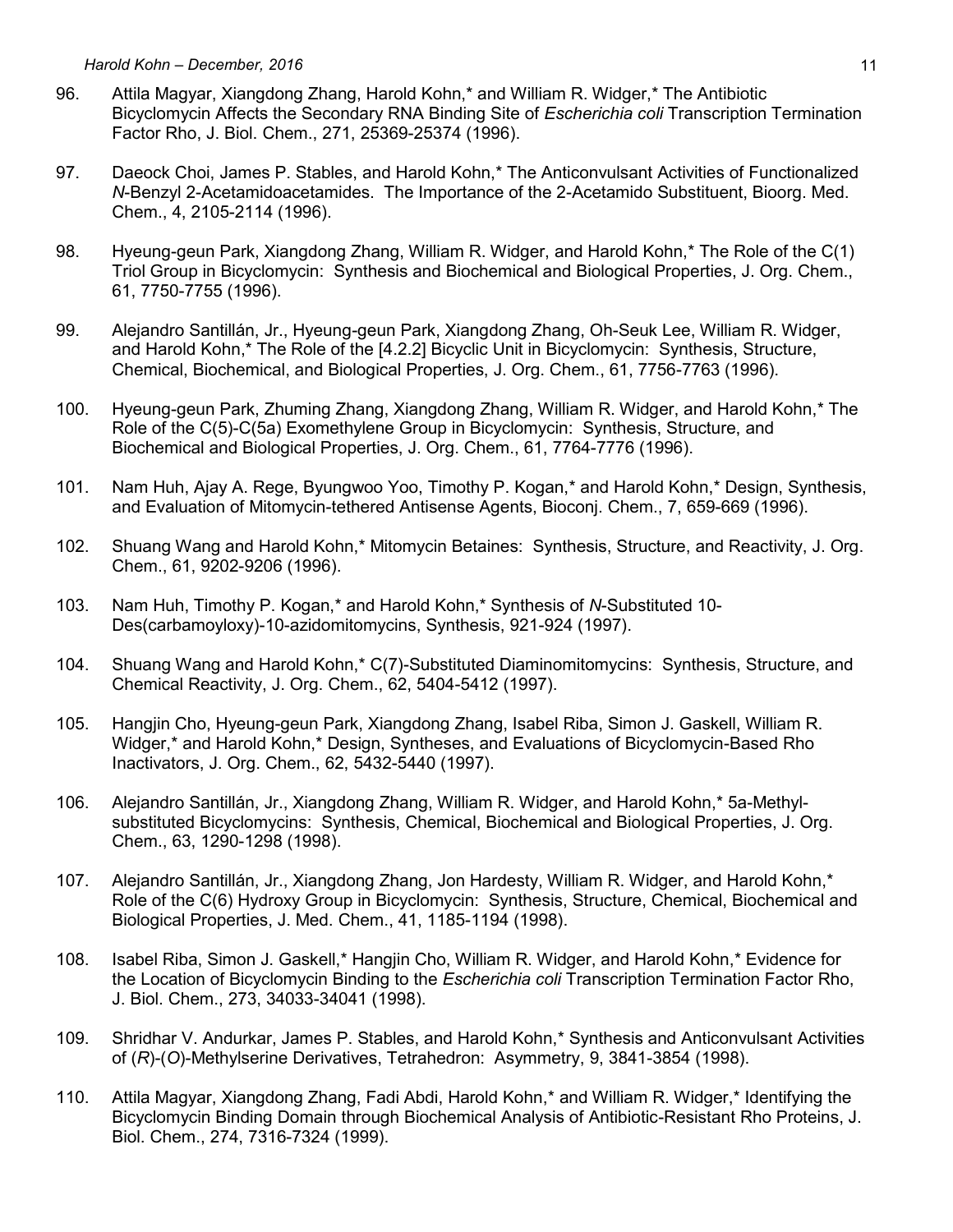- 96. Attila Magyar, Xiangdong Zhang, Harold Kohn,\* and William R. Widger,\* The Antibiotic Bicyclomycin Affects the Secondary RNA Binding Site of *Escherichia coli* Transcription Termination Factor Rho, J. Biol. Chem., 271, 25369-25374 (1996).
- 97. Daeock Choi, James P. Stables, and Harold Kohn,<sup>\*</sup> The Anticonvulsant Activities of Functionalized *N*-Benzyl 2-Acetamidoacetamides. The Importance of the 2-Acetamido Substituent, Bioorg. Med. Chem., 4, 2105-2114 (1996).
- 98. Hyeung-geun Park, Xiangdong Zhang, William R. Widger, and Harold Kohn,\* The Role of the C(1) Triol Group in Bicyclomycin: Synthesis and Biochemical and Biological Properties, J. Org. Chem., 61, 7750-7755 (1996).
- 99. Alejandro Santillán, Jr., Hyeung-geun Park, Xiangdong Zhang, Oh-Seuk Lee, William R. Widger, and Harold Kohn,\* The Role of the [4.2.2] Bicyclic Unit in Bicyclomycin: Synthesis, Structure, Chemical, Biochemical, and Biological Properties, J. Org. Chem., 61, 7756-7763 (1996).
- 100. Hyeung-geun Park, Zhuming Zhang, Xiangdong Zhang, William R. Widger, and Harold Kohn,\* The Role of the C(5)-C(5a) Exomethylene Group in Bicyclomycin: Synthesis, Structure, and Biochemical and Biological Properties, J. Org. Chem., 61, 7764-7776 (1996).
- 101. Nam Huh, Ajay A. Rege, Byungwoo Yoo, Timothy P. Kogan,\* and Harold Kohn,\* Design, Synthesis, and Evaluation of Mitomycin-tethered Antisense Agents, Bioconj. Chem., 7, 659-669 (1996).
- 102. Shuang Wang and Harold Kohn,\* Mitomycin Betaines: Synthesis, Structure, and Reactivity, J. Org. Chem., 61, 9202-9206 (1996).
- 103. Nam Huh, Timothy P. Kogan,\* and Harold Kohn,\* Synthesis of *N*-Substituted 10- Des(carbamoyloxy)-10-azidomitomycins, Synthesis, 921-924 (1997).
- 104. Shuang Wang and Harold Kohn,\* C(7)-Substituted Diaminomitomycins: Synthesis, Structure, and Chemical Reactivity, J. Org. Chem., 62, 5404-5412 (1997).
- 105. Hangjin Cho, Hyeung-geun Park, Xiangdong Zhang, Isabel Riba, Simon J. Gaskell, William R. Widger,\* and Harold Kohn,\* Design, Syntheses, and Evaluations of Bicyclomycin-Based Rho Inactivators, J. Org. Chem., 62, 5432-5440 (1997).
- 106. Alejandro Santillán, Jr., Xiangdong Zhang, William R. Widger, and Harold Kohn,\* 5a-Methylsubstituted Bicyclomycins: Synthesis, Chemical, Biochemical and Biological Properties, J. Org. Chem., 63, 1290-1298 (1998).
- 107. Alejandro Santillán, Jr., Xiangdong Zhang, Jon Hardesty, William R. Widger, and Harold Kohn,\* Role of the C(6) Hydroxy Group in Bicyclomycin: Synthesis, Structure, Chemical, Biochemical and Biological Properties, J. Med. Chem., 41, 1185-1194 (1998).
- 108. Isabel Riba, Simon J. Gaskell,\* Hangjin Cho, William R. Widger, and Harold Kohn,\* Evidence for the Location of Bicyclomycin Binding to the *Escherichia coli* Transcription Termination Factor Rho, J. Biol. Chem., 273, 34033-34041 (1998).
- 109. Shridhar V. Andurkar, James P. Stables, and Harold Kohn,\* Synthesis and Anticonvulsant Activities of (*R*)-(*O*)-Methylserine Derivatives, Tetrahedron: Asymmetry, 9, 3841-3854 (1998).
- 110. Attila Magyar, Xiangdong Zhang, Fadi Abdi, Harold Kohn,\* and William R. Widger,\* Identifying the Bicyclomycin Binding Domain through Biochemical Analysis of Antibiotic-Resistant Rho Proteins, J. Biol. Chem., 274, 7316-7324 (1999).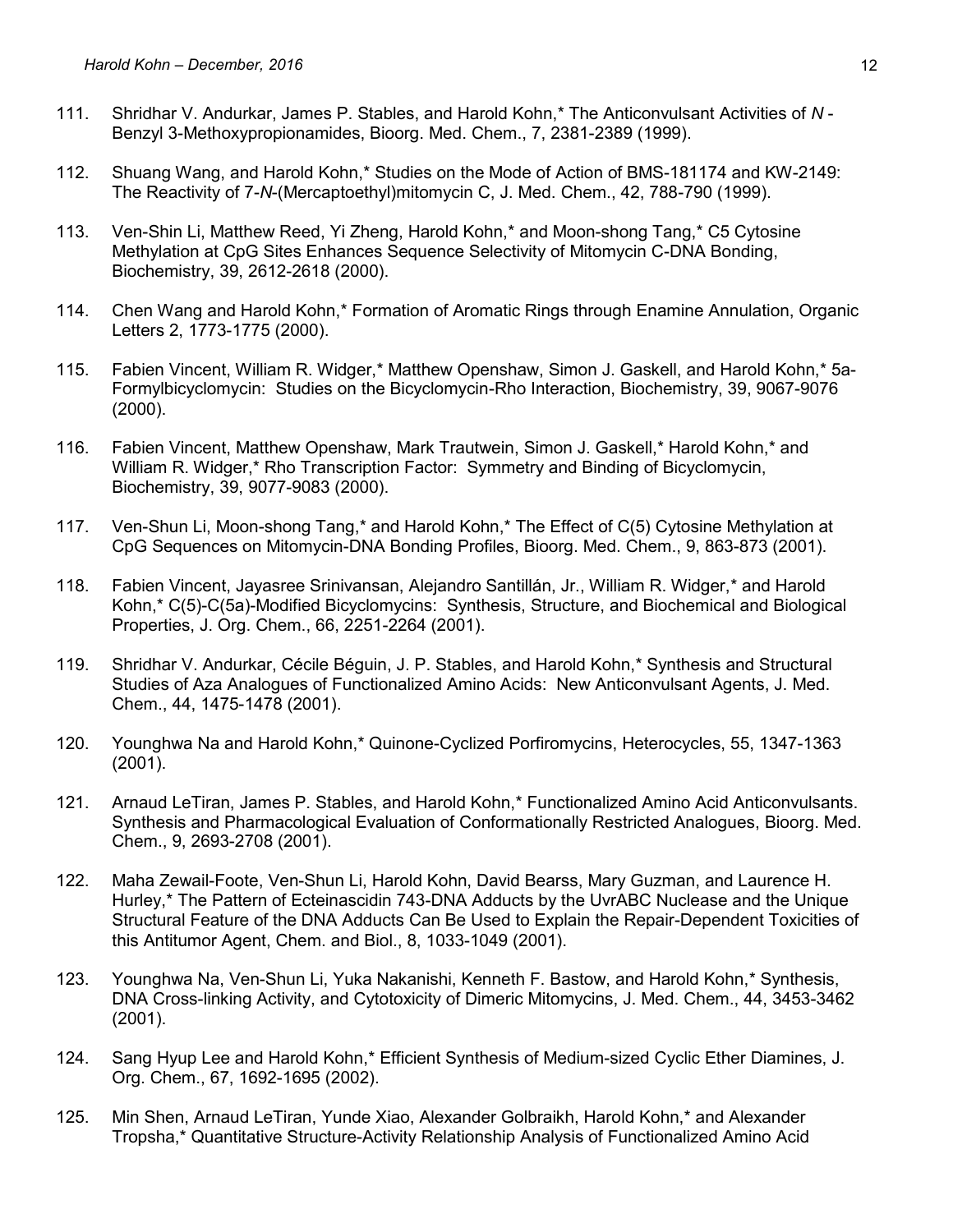- 111. Shridhar V. Andurkar, James P. Stables, and Harold Kohn,\* The Anticonvulsant Activities of *N*  Benzyl 3-Methoxypropionamides, Bioorg. Med. Chem., 7, 2381-2389 (1999).
- 112. Shuang Wang, and Harold Kohn,\* Studies on the Mode of Action of BMS-181174 and KW-2149: The Reactivity of 7-*N*-(Mercaptoethyl)mitomycin C, J. Med. Chem., 42, 788-790 (1999).
- 113. Ven-Shin Li, Matthew Reed, Yi Zheng, Harold Kohn,\* and Moon-shong Tang,\* C5 Cytosine Methylation at CpG Sites Enhances Sequence Selectivity of Mitomycin C-DNA Bonding, Biochemistry, 39, 2612-2618 (2000).
- 114. Chen Wang and Harold Kohn,\* Formation of Aromatic Rings through Enamine Annulation, Organic Letters 2, 1773-1775 (2000).
- 115. Fabien Vincent, William R. Widger,\* Matthew Openshaw, Simon J. Gaskell, and Harold Kohn,\* 5a-Formylbicyclomycin: Studies on the Bicyclomycin-Rho Interaction, Biochemistry, 39, 9067-9076 (2000).
- 116. Fabien Vincent, Matthew Openshaw, Mark Trautwein, Simon J. Gaskell,\* Harold Kohn,\* and William R. Widger,\* Rho Transcription Factor: Symmetry and Binding of Bicyclomycin, Biochemistry, 39, 9077-9083 (2000).
- 117. Ven-Shun Li, Moon-shong Tang,\* and Harold Kohn,\* The Effect of C(5) Cytosine Methylation at CpG Sequences on Mitomycin-DNA Bonding Profiles, Bioorg. Med. Chem., 9, 863-873 (2001).
- 118. Fabien Vincent, Jayasree Srinivansan, Alejandro Santillán, Jr., William R. Widger,\* and Harold Kohn,\* C(5)-C(5a)-Modified Bicyclomycins: Synthesis, Structure, and Biochemical and Biological Properties, J. Org. Chem., 66, 2251-2264 (2001).
- 119. Shridhar V. Andurkar, Cécile Béguin, J. P. Stables, and Harold Kohn,\* Synthesis and Structural Studies of Aza Analogues of Functionalized Amino Acids: New Anticonvulsant Agents, J. Med. Chem., 44, 1475-1478 (2001).
- 120. Younghwa Na and Harold Kohn,\* Quinone-Cyclized Porfiromycins, Heterocycles, 55, 1347-1363 (2001).
- 121. Arnaud LeTiran, James P. Stables, and Harold Kohn,\* Functionalized Amino Acid Anticonvulsants. Synthesis and Pharmacological Evaluation of Conformationally Restricted Analogues, Bioorg. Med. Chem., 9, 2693-2708 (2001).
- 122. Maha Zewail-Foote, Ven-Shun Li, Harold Kohn, David Bearss, Mary Guzman, and Laurence H. Hurley,\* The Pattern of Ecteinascidin 743-DNA Adducts by the UvrABC Nuclease and the Unique Structural Feature of the DNA Adducts Can Be Used to Explain the Repair-Dependent Toxicities of this Antitumor Agent, Chem. and Biol., 8, 1033-1049 (2001).
- 123. Younghwa Na, Ven-Shun Li, Yuka Nakanishi, Kenneth F. Bastow, and Harold Kohn,\* Synthesis, DNA Cross-linking Activity, and Cytotoxicity of Dimeric Mitomycins, J. Med. Chem., 44, 3453-3462 (2001).
- 124. Sang Hyup Lee and Harold Kohn,\* Efficient Synthesis of Medium-sized Cyclic Ether Diamines, J. Org. Chem., 67, 1692-1695 (2002).
- 125. Min Shen, Arnaud LeTiran, Yunde Xiao, Alexander Golbraikh, Harold Kohn,\* and Alexander Tropsha,\* Quantitative Structure-Activity Relationship Analysis of Functionalized Amino Acid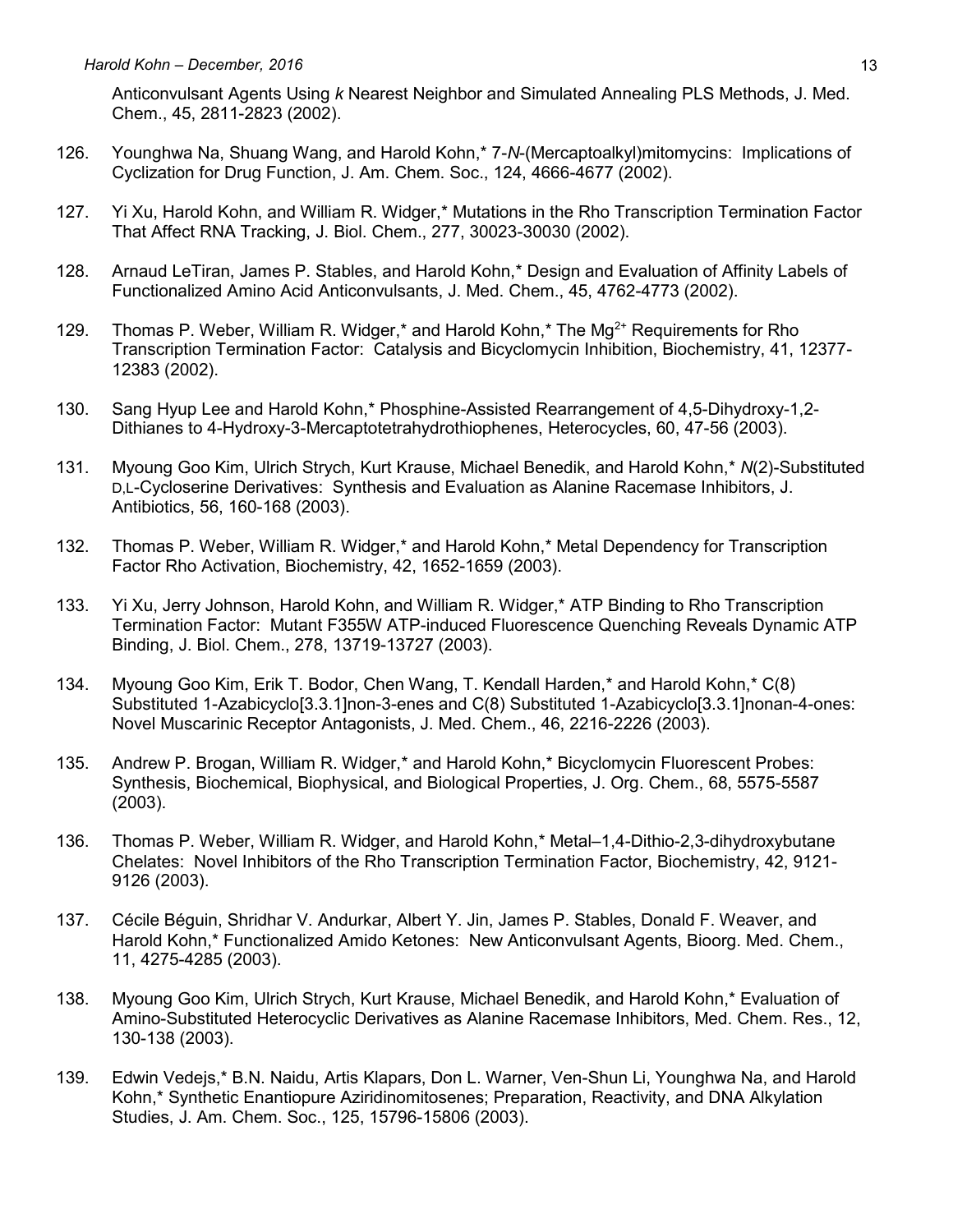Anticonvulsant Agents Using *k* Nearest Neighbor and Simulated Annealing PLS Methods, J. Med. Chem., 45, 2811-2823 (2002).

- 126. Younghwa Na, Shuang Wang, and Harold Kohn,\* 7-*N*-(Mercaptoalkyl)mitomycins: Implications of Cyclization for Drug Function, J. Am. Chem. Soc., 124, 4666-4677 (2002).
- 127. Yi Xu, Harold Kohn, and William R. Widger,\* Mutations in the Rho Transcription Termination Factor That Affect RNA Tracking, J. Biol. Chem., 277, 30023-30030 (2002).
- 128. Arnaud LeTiran, James P. Stables, and Harold Kohn,\* Design and Evaluation of Affinity Labels of Functionalized Amino Acid Anticonvulsants, J. Med. Chem., 45, 4762-4773 (2002).
- 129. Thomas P. Weber, William R. Widger,\* and Harold Kohn,\* The Mg<sup>2+</sup> Requirements for Rho Transcription Termination Factor: Catalysis and Bicyclomycin Inhibition, Biochemistry, 41, 12377- 12383 (2002).
- 130. Sang Hyup Lee and Harold Kohn,\* Phosphine-Assisted Rearrangement of 4,5-Dihydroxy-1,2- Dithianes to 4-Hydroxy-3-Mercaptotetrahydrothiophenes, Heterocycles, 60, 47-56 (2003).
- 131. Myoung Goo Kim, Ulrich Strych, Kurt Krause, Michael Benedik, and Harold Kohn,\* *N*(2)-Substituted D,L-Cycloserine Derivatives: Synthesis and Evaluation as Alanine Racemase Inhibitors, J. Antibiotics, 56, 160-168 (2003).
- 132. Thomas P. Weber, William R. Widger,\* and Harold Kohn,\* Metal Dependency for Transcription Factor Rho Activation, Biochemistry, 42, 1652-1659 (2003).
- 133. Yi Xu, Jerry Johnson, Harold Kohn, and William R. Widger,\* ATP Binding to Rho Transcription Termination Factor: Mutant F355W ATP-induced Fluorescence Quenching Reveals Dynamic ATP Binding, J. Biol. Chem., 278, 13719-13727 (2003).
- 134. Myoung Goo Kim, Erik T. Bodor, Chen Wang, T. Kendall Harden,\* and Harold Kohn,\* C(8) Substituted 1-Azabicyclo[3.3.1]non-3-enes and C(8) Substituted 1-Azabicyclo[3.3.1]nonan-4-ones: Novel Muscarinic Receptor Antagonists, J. Med. Chem., 46, 2216-2226 (2003).
- 135. Andrew P. Brogan, William R. Widger,\* and Harold Kohn,\* Bicyclomycin Fluorescent Probes: Synthesis, Biochemical, Biophysical, and Biological Properties, J. Org. Chem., 68, 5575-5587 (2003).
- 136. Thomas P. Weber, William R. Widger, and Harold Kohn,\* Metal–1,4-Dithio-2,3-dihydroxybutane Chelates: Novel Inhibitors of the Rho Transcription Termination Factor, Biochemistry, 42, 9121- 9126 (2003).
- 137. Cécile Béguin, Shridhar V. Andurkar, Albert Y. Jin, James P. Stables, Donald F. Weaver, and Harold Kohn,\* Functionalized Amido Ketones: New Anticonvulsant Agents, Bioorg. Med. Chem., 11, 4275-4285 (2003).
- 138. Myoung Goo Kim, Ulrich Strych, Kurt Krause, Michael Benedik, and Harold Kohn,\* Evaluation of Amino-Substituted Heterocyclic Derivatives as Alanine Racemase Inhibitors, Med. Chem. Res., 12, 130-138 (2003).
- 139. Edwin Vedejs,\* B.N. Naidu, Artis Klapars, Don L. Warner, Ven-Shun Li, Younghwa Na, and Harold Kohn,\* Synthetic Enantiopure Aziridinomitosenes; Preparation, Reactivity, and DNA Alkylation Studies, J. Am. Chem. Soc., 125, 15796-15806 (2003).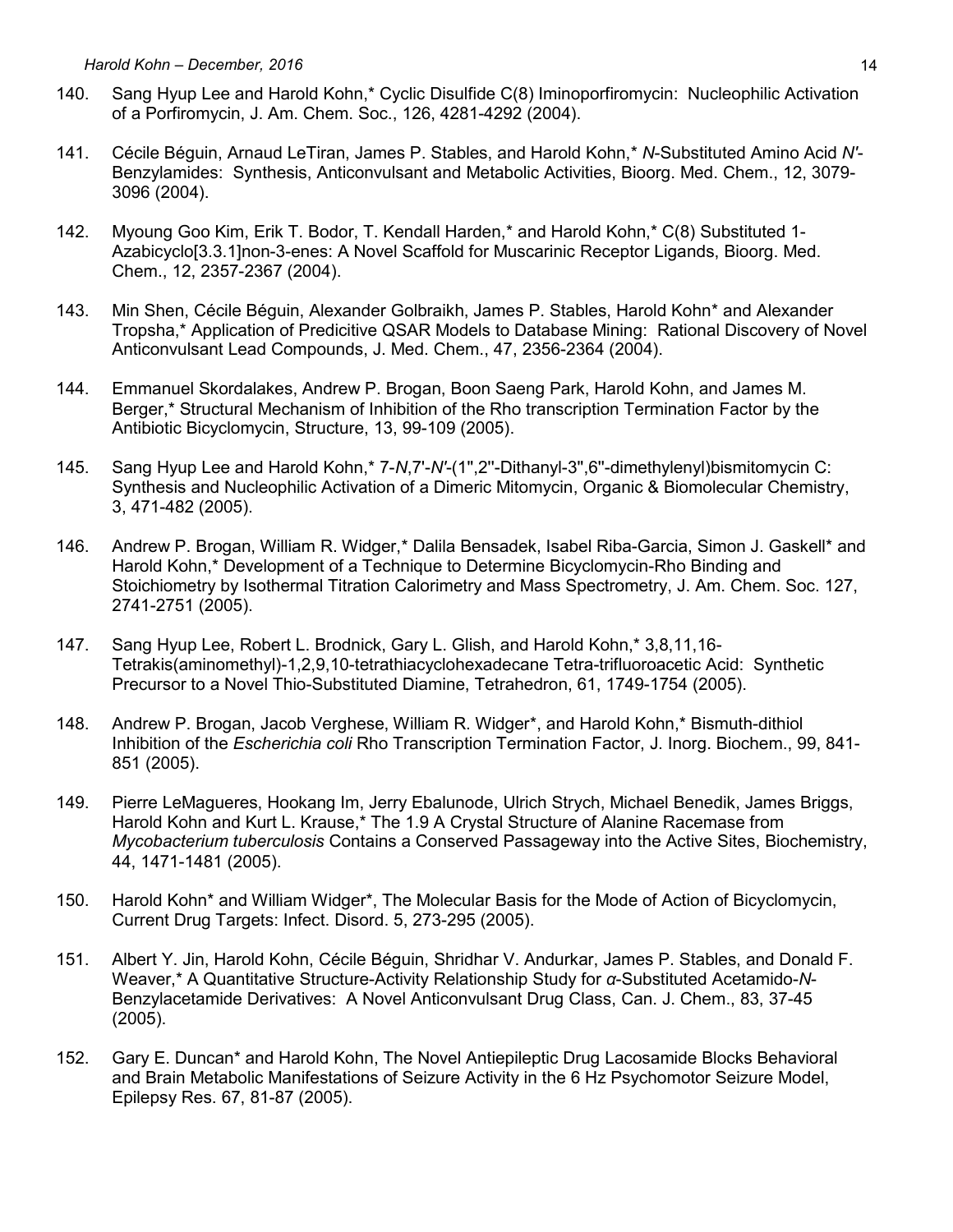- 140. Sang Hyup Lee and Harold Kohn,\* Cyclic Disulfide C(8) Iminoporfiromycin: Nucleophilic Activation of a Porfiromycin, J. Am. Chem. Soc., 126, 4281-4292 (2004).
- 141. Cécile Béguin, Arnaud LeTiran, James P. Stables, and Harold Kohn,\* *N*-Substituted Amino Acid *N'* Benzylamides: Synthesis, Anticonvulsant and Metabolic Activities, Bioorg. Med. Chem., 12, 3079- 3096 (2004).
- 142. Myoung Goo Kim, Erik T. Bodor, T. Kendall Harden,\* and Harold Kohn,\* C(8) Substituted 1- Azabicyclo[3.3.1]non-3-enes: A Novel Scaffold for Muscarinic Receptor Ligands, Bioorg. Med. Chem., 12, 2357-2367 (2004).
- 143. Min Shen, Cécile Béguin, Alexander Golbraikh, James P. Stables, Harold Kohn\* and Alexander Tropsha,\* Application of Predicitive QSAR Models to Database Mining: Rational Discovery of Novel Anticonvulsant Lead Compounds, J. Med. Chem., 47, 2356-2364 (2004).
- 144. Emmanuel Skordalakes, Andrew P. Brogan, Boon Saeng Park, Harold Kohn, and James M. Berger,\* Structural Mechanism of Inhibition of the Rho transcription Termination Factor by the Antibiotic Bicyclomycin, Structure, 13, 99-109 (2005).
- 145. Sang Hyup Lee and Harold Kohn,\* 7-*N*,7'-*N'*-(1'',2''-Dithanyl-3'',6''-dimethylenyl)bismitomycin C: Synthesis and Nucleophilic Activation of a Dimeric Mitomycin, Organic & Biomolecular Chemistry, 3, 471-482 (2005).
- 146. Andrew P. Brogan, William R. Widger,\* Dalila Bensadek, Isabel Riba-Garcia, Simon J. Gaskell\* and Harold Kohn,\* Development of a Technique to Determine Bicyclomycin-Rho Binding and Stoichiometry by Isothermal Titration Calorimetry and Mass Spectrometry, J. Am. Chem. Soc. 127, 2741-2751 (2005).
- 147. Sang Hyup Lee, Robert L. Brodnick, Gary L. Glish, and Harold Kohn,\* 3,8,11,16- Tetrakis(aminomethyl)-1,2,9,10-tetrathiacyclohexadecane Tetra-trifluoroacetic Acid: Synthetic Precursor to a Novel Thio-Substituted Diamine, Tetrahedron, 61, 1749-1754 (2005).
- 148. Andrew P. Brogan, Jacob Verghese, William R. Widger\*, and Harold Kohn,\* Bismuth-dithiol Inhibition of the *Escherichia coli* Rho Transcription Termination Factor, J. Inorg. Biochem., 99, 841- 851 (2005).
- 149. Pierre LeMagueres, Hookang Im, Jerry Ebalunode, Ulrich Strych, Michael Benedik, James Briggs, Harold Kohn and Kurt L. Krause,\* The 1.9 A Crystal Structure of Alanine Racemase from *Mycobacterium tuberculosis* Contains a Conserved Passageway into the Active Sites, Biochemistry, 44, 1471-1481 (2005).
- 150. Harold Kohn\* and William Widger\*, The Molecular Basis for the Mode of Action of Bicyclomycin, Current Drug Targets: Infect. Disord. 5, 273-295 (2005).
- 151. Albert Y. Jin, Harold Kohn, Cécile Béguin, Shridhar V. Andurkar, James P. Stables, and Donald F. Weaver,\* A Quantitative Structure-Activity Relationship Study for *α*-Substituted Acetamido-*N*-Benzylacetamide Derivatives: A Novel Anticonvulsant Drug Class, Can. J. Chem., 83, 37-45 (2005).
- 152. Gary E. Duncan\* and Harold Kohn, The Novel Antiepileptic Drug Lacosamide Blocks Behavioral and Brain Metabolic Manifestations of Seizure Activity in the 6 Hz Psychomotor Seizure Model, Epilepsy Res. 67, 81-87 (2005).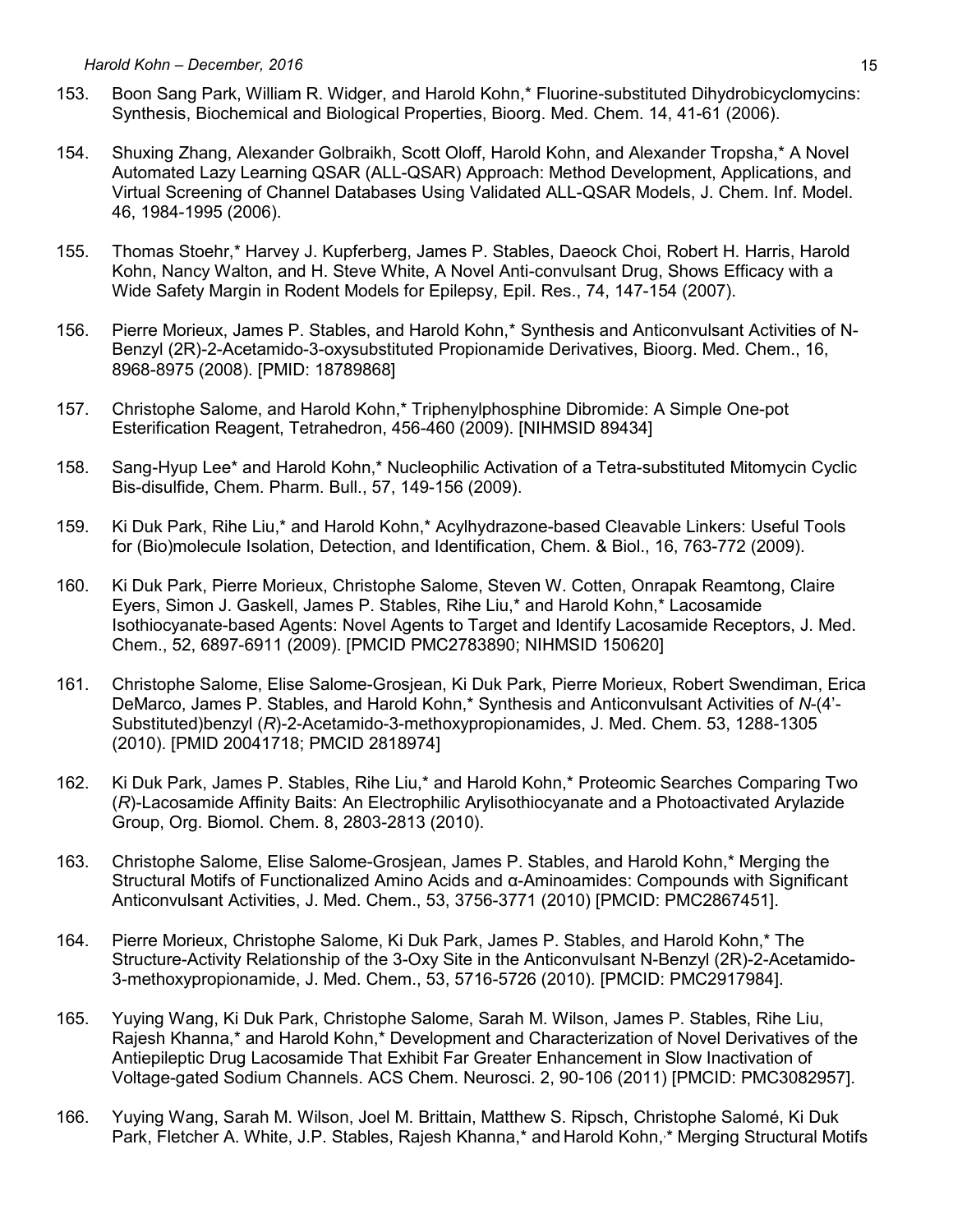- 153. Boon Sang Park, William R. Widger, and Harold Kohn,\* Fluorine-substituted Dihydrobicyclomycins: Synthesis, Biochemical and Biological Properties, Bioorg. Med. Chem. 14, 41-61 (2006).
- 154. Shuxing Zhang, Alexander Golbraikh, Scott Oloff, Harold Kohn, and Alexander Tropsha,\* A Novel Automated Lazy Learning QSAR (ALL-QSAR) Approach: Method Development, Applications, and Virtual Screening of Channel Databases Using Validated ALL-QSAR Models, J. Chem. Inf. Model. 46, 1984-1995 (2006).
- 155. Thomas Stoehr,\* Harvey J. Kupferberg, James P. Stables, Daeock Choi, Robert H. Harris, Harold Kohn, Nancy Walton, and H. Steve White, A Novel Anti-convulsant Drug, Shows Efficacy with a Wide Safety Margin in Rodent Models for Epilepsy, Epil. Res., 74, 147-154 (2007).
- 156. Pierre Morieux, James P. Stables, and Harold Kohn,\* Synthesis and Anticonvulsant Activities of N-Benzyl (2R)-2-Acetamido-3-oxysubstituted Propionamide Derivatives, Bioorg. Med. Chem., 16, 8968-8975 (2008). [PMID: 18789868]
- 157. Christophe Salome, and Harold Kohn,\* Triphenylphosphine Dibromide: A Simple One-pot Esterification Reagent, Tetrahedron, 456-460 (2009). [NIHMSID 89434]
- 158. Sang-Hyup Lee\* and Harold Kohn,\* Nucleophilic Activation of a Tetra-substituted Mitomycin Cyclic Bis-disulfide, Chem. Pharm. Bull., 57, 149-156 (2009).
- 159. Ki Duk Park, Rihe Liu,\* and Harold Kohn,\* Acylhydrazone-based Cleavable Linkers: Useful Tools for (Bio)molecule Isolation, Detection, and Identification, Chem. & Biol., 16, 763-772 (2009).
- 160. Ki Duk Park, Pierre Morieux, Christophe Salome, Steven W. Cotten, Onrapak Reamtong, Claire Eyers, Simon J. Gaskell, James P. Stables, Rihe Liu,\* and Harold Kohn,\* Lacosamide Isothiocyanate-based Agents: Novel Agents to Target and Identify Lacosamide Receptors, J. Med. Chem., 52, 6897-6911 (2009). [PMCID PMC2783890; NIHMSID 150620]
- 161. Christophe Salome, Elise Salome-Grosjean, Ki Duk Park, Pierre Morieux, Robert Swendiman, Erica DeMarco, James P. Stables, and Harold Kohn,\* Synthesis and Anticonvulsant Activities of *N*-(4'- Substituted)benzyl (*R*)-2-Acetamido-3-methoxypropionamides, J. Med. Chem. 53, 1288-1305 (2010). [PMID 20041718; PMCID 2818974]
- 162. Ki Duk Park, James P. Stables, Rihe Liu,\* and Harold Kohn,\* Proteomic Searches Comparing Two (*R*)-Lacosamide Affinity Baits: An Electrophilic Arylisothiocyanate and a Photoactivated Arylazide Group, Org. Biomol. Chem. 8, 2803-2813 (2010).
- 163. Christophe Salome, Elise Salome-Grosjean, James P. Stables, and Harold Kohn,\* Merging the Structural Motifs of Functionalized Amino Acids and α-Aminoamides: Compounds with Significant Anticonvulsant Activities, J. Med. Chem., 53, 3756-3771 (2010) [PMCID: PMC2867451].
- 164. Pierre Morieux, Christophe Salome, Ki Duk Park, James P. Stables, and Harold Kohn,\* The Structure-Activity Relationship of the 3-Oxy Site in the Anticonvulsant N-Benzyl (2R)-2-Acetamido-3-methoxypropionamide, J. Med. Chem., 53, 5716-5726 (2010). [PMCID: PMC2917984].
- 165. Yuying Wang, Ki Duk Park, Christophe Salome, Sarah M. Wilson, James P. Stables, Rihe Liu, Rajesh Khanna,\* and Harold Kohn,\* Development and Characterization of Novel Derivatives of the Antiepileptic Drug Lacosamide That Exhibit Far Greater Enhancement in Slow Inactivation of Voltage-gated Sodium Channels. ACS Chem. Neurosci. 2, 90-106 (2011) [PMCID: PMC3082957].
- 166. Yuying Wang, Sarah M. Wilson, Joel M. Brittain, Matthew S. Ripsch, Christophe Salomé, Ki Duk Park, Fletcher A. White, J.P. Stables, Rajesh Khanna,\* and Harold Kohn,<sup>\*</sup> Merging Structural Motifs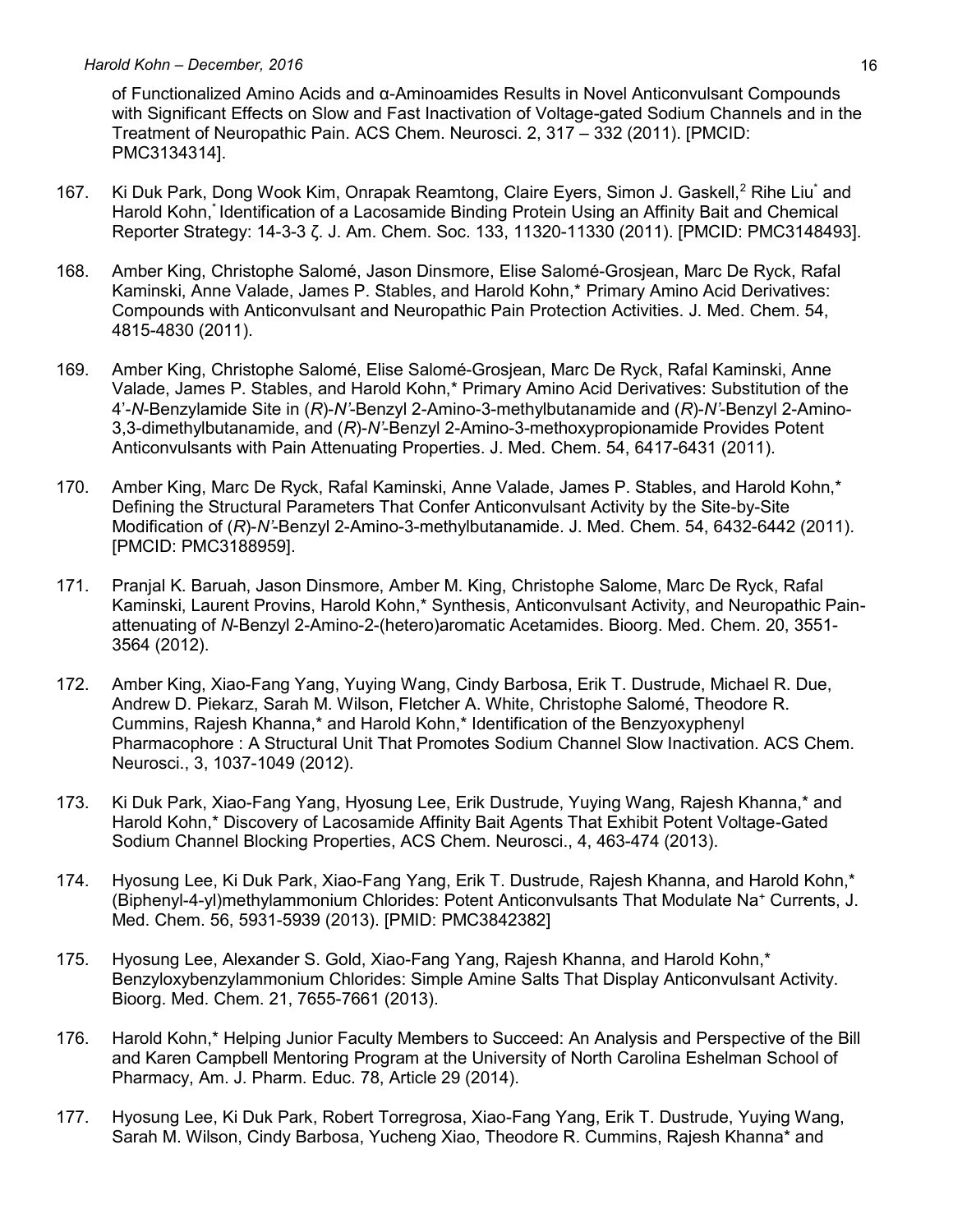of Functionalized Amino Acids and α-Aminoamides Results in Novel Anticonvulsant Compounds with Significant Effects on Slow and Fast Inactivation of Voltage-gated Sodium Channels and in the Treatment of Neuropathic Pain. ACS Chem. Neurosci. 2, 317 – 332 (2011). [PMCID: PMC3134314].

- 167. Ki Duk Park, Dong Wook Kim, Onrapak Reamtong, Claire Eyers, Simon J. Gaskell,<sup>2</sup> Rihe Liu<sup>\*</sup> and Harold Kohn, \* Identification of a Lacosamide Binding Protein Using an Affinity Bait and Chemical Reporter Strategy: 14-3-3 ζ. J. Am. Chem. Soc. 133, 11320-11330 (2011). [PMCID: PMC3148493].
- 168. Amber King, Christophe Salomé, Jason Dinsmore, Elise Salomé-Grosjean, Marc De Ryck, Rafal Kaminski, Anne Valade, James P. Stables, and Harold Kohn,\* Primary Amino Acid Derivatives: Compounds with Anticonvulsant and Neuropathic Pain Protection Activities. J. Med. Chem. 54, 4815-4830 (2011).
- 169. Amber King, Christophe Salomé, Elise Salomé-Grosjean, Marc De Ryck, Rafal Kaminski, Anne Valade, James P. Stables, and Harold Kohn,\* Primary Amino Acid Derivatives: Substitution of the 4'-*N*-Benzylamide Site in (*R*)-*N'*-Benzyl 2-Amino-3-methylbutanamide and (*R*)-*N'*-Benzyl 2-Amino-3,3-dimethylbutanamide, and (*R*)-*N'*-Benzyl 2-Amino-3-methoxypropionamide Provides Potent Anticonvulsants with Pain Attenuating Properties. J. Med. Chem. 54, 6417-6431 (2011).
- 170. Amber King, Marc De Ryck, Rafal Kaminski, Anne Valade, James P. Stables, and Harold Kohn,\* Defining the Structural Parameters That Confer Anticonvulsant Activity by the Site-by-Site Modification of (*R*)-*N'*-Benzyl 2-Amino-3-methylbutanamide. J. Med. Chem. 54, 6432-6442 (2011). [PMCID: PMC3188959].
- 171. Pranjal K. Baruah, Jason Dinsmore, Amber M. King, Christophe Salome, Marc De Ryck, Rafal Kaminski, Laurent Provins, Harold Kohn,\* Synthesis, Anticonvulsant Activity, and Neuropathic Painattenuating of *N*-Benzyl 2-Amino-2-(hetero)aromatic Acetamides. Bioorg. Med. Chem. 20, 3551- 3564 (2012).
- 172. Amber King, Xiao-Fang Yang, Yuying Wang, Cindy Barbosa, Erik T. Dustrude, Michael R. Due, Andrew D. Piekarz, Sarah M. Wilson, Fletcher A. White, Christophe Salomé, Theodore R. Cummins, Rajesh Khanna,\* and Harold Kohn,\* Identification of the Benzyoxyphenyl Pharmacophore : A Structural Unit That Promotes Sodium Channel Slow Inactivation. ACS Chem. Neurosci., 3, 1037-1049 (2012).
- 173. Ki Duk Park, Xiao-Fang Yang, Hyosung Lee, Erik Dustrude, Yuying Wang, Rajesh Khanna,\* and Harold Kohn,\* Discovery of Lacosamide Affinity Bait Agents That Exhibit Potent Voltage-Gated Sodium Channel Blocking Properties, ACS Chem. Neurosci., 4, 463-474 (2013).
- 174. Hyosung Lee, Ki Duk Park, Xiao-Fang Yang, Erik T. Dustrude, Rajesh Khanna, and Harold Kohn,\* (Biphenyl-4-yl)methylammonium Chlorides: Potent Anticonvulsants That Modulate Na<sup>+</sup> Currents, J. Med. Chem. 56, 5931-5939 (2013). [PMID: PMC3842382]
- 175. Hyosung Lee, Alexander S. Gold, Xiao-Fang Yang, Rajesh Khanna, and Harold Kohn,\* Benzyloxybenzylammonium Chlorides: Simple Amine Salts That Display Anticonvulsant Activity. Bioorg. Med. Chem. 21, 7655-7661 (2013).
- 176. Harold Kohn,\* Helping Junior Faculty Members to Succeed: An Analysis and Perspective of the Bill and Karen Campbell Mentoring Program at the University of North Carolina Eshelman School of Pharmacy, Am. J. Pharm. Educ. 78, Article 29 (2014).
- 177. Hyosung Lee, Ki Duk Park, Robert Torregrosa, Xiao-Fang Yang, Erik T. Dustrude, Yuying Wang, Sarah M. Wilson, Cindy Barbosa, Yucheng Xiao, Theodore R. Cummins, Rajesh Khanna\* and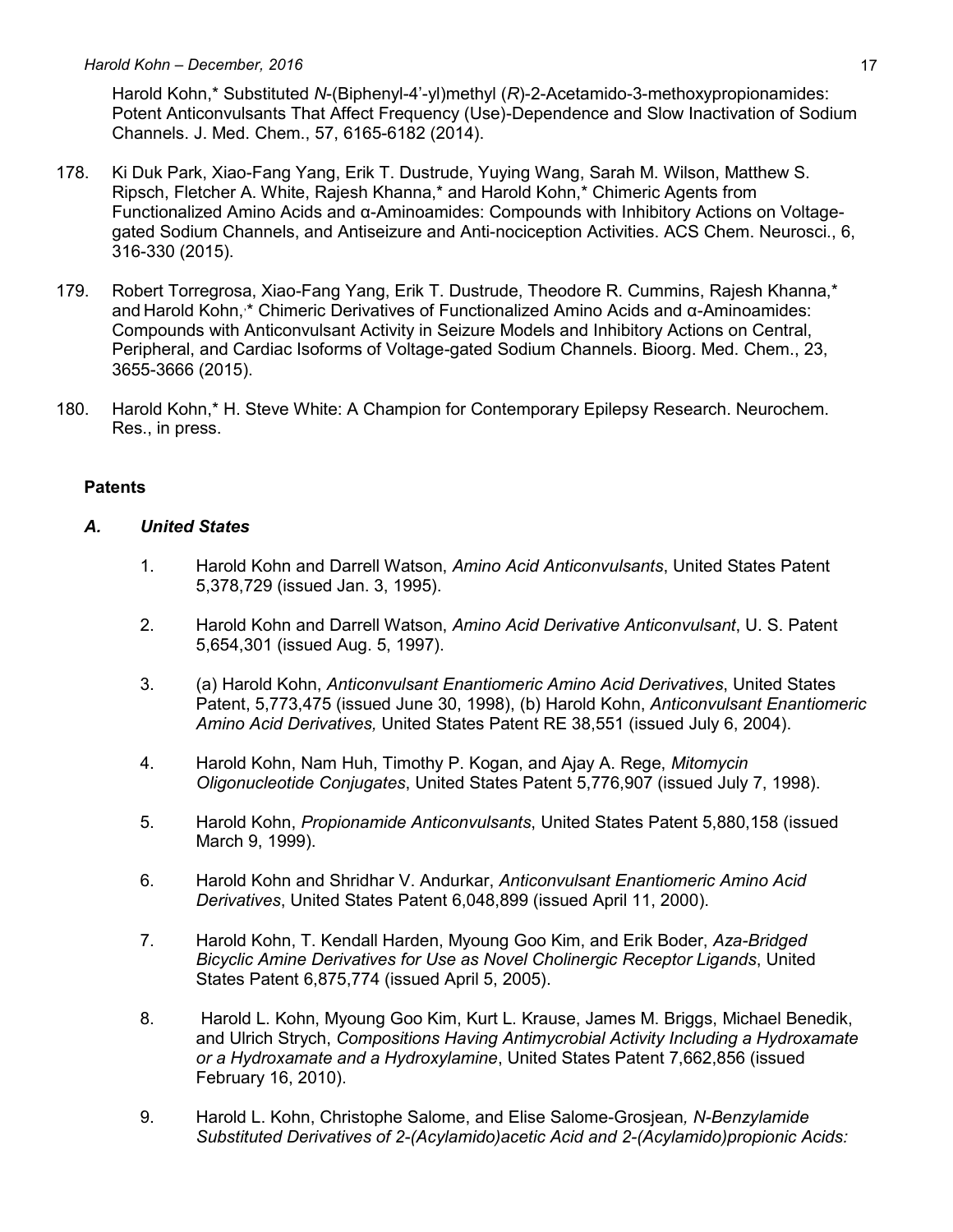Harold Kohn,\* Substituted *N*-(Biphenyl-4'-yl)methyl (*R*)-2-Acetamido-3-methoxypropionamides: Potent Anticonvulsants That Affect Frequency (Use)-Dependence and Slow Inactivation of Sodium Channels. J. Med. Chem., 57, 6165-6182 (2014).

- 178. Ki Duk Park, Xiao-Fang Yang, Erik T. Dustrude, Yuying Wang, Sarah M. Wilson, Matthew S. Ripsch, Fletcher A. White, Rajesh Khanna,\* and Harold Kohn,\* Chimeric Agents from Functionalized Amino Acids and α-Aminoamides: Compounds with Inhibitory Actions on Voltagegated Sodium Channels, and Antiseizure and Anti-nociception Activities. ACS Chem. Neurosci., 6, 316-330 (2015).
- 179. Robert Torregrosa, Xiao-Fang Yang, Erik T. Dustrude, Theodore R. Cummins, Rajesh Khanna,\* and Harold Kohn,<sup>\*</sup> Chimeric Derivatives of Functionalized Amino Acids and α-Aminoamides: Compounds with Anticonvulsant Activity in Seizure Models and Inhibitory Actions on Central, Peripheral, and Cardiac Isoforms of Voltage-gated Sodium Channels. Bioorg. Med. Chem., 23, 3655-3666 (2015).
- 180. Harold Kohn,\* H. Steve White: A Champion for Contemporary Epilepsy Research. Neurochem. Res., in press.

#### **Patents**

#### *A. United States*

- 1. Harold Kohn and Darrell Watson, *Amino Acid Anticonvulsants*, United States Patent 5,378,729 (issued Jan. 3, 1995).
- 2. Harold Kohn and Darrell Watson, *Amino Acid Derivative Anticonvulsant*, U. S. Patent 5,654,301 (issued Aug. 5, 1997).
- 3. (a) Harold Kohn, *Anticonvulsant Enantiomeric Amino Acid Derivatives*, United States Patent, 5,773,475 (issued June 30, 1998), (b) Harold Kohn, *Anticonvulsant Enantiomeric Amino Acid Derivatives,* United States Patent RE 38,551 (issued July 6, 2004).
- 4. Harold Kohn, Nam Huh, Timothy P. Kogan, and Ajay A. Rege, *Mitomycin Oligonucleotide Conjugates*, United States Patent 5,776,907 (issued July 7, 1998).
- 5. Harold Kohn, *Propionamide Anticonvulsants*, United States Patent 5,880,158 (issued March 9, 1999).
- 6. Harold Kohn and Shridhar V. Andurkar, *Anticonvulsant Enantiomeric Amino Acid Derivatives*, United States Patent 6,048,899 (issued April 11, 2000).
- 7. Harold Kohn, T. Kendall Harden, Myoung Goo Kim, and Erik Boder, *Aza-Bridged Bicyclic Amine Derivatives for Use as Novel Cholinergic Receptor Ligands*, United States Patent 6,875,774 (issued April 5, 2005).
- 8. Harold L. Kohn, Myoung Goo Kim, Kurt L. Krause, James M. Briggs, Michael Benedik, and Ulrich Strych, *Compositions Having Antimycrobial Activity Including a Hydroxamate or a Hydroxamate and a Hydroxylamine*, United States Patent 7,662,856 (issued February 16, 2010).
- 9. Harold L. Kohn, Christophe Salome, and Elise Salome-Grosjean*, N-Benzylamide Substituted Derivatives of 2-(Acylamido)acetic Acid and 2-(Acylamido)propionic Acids:*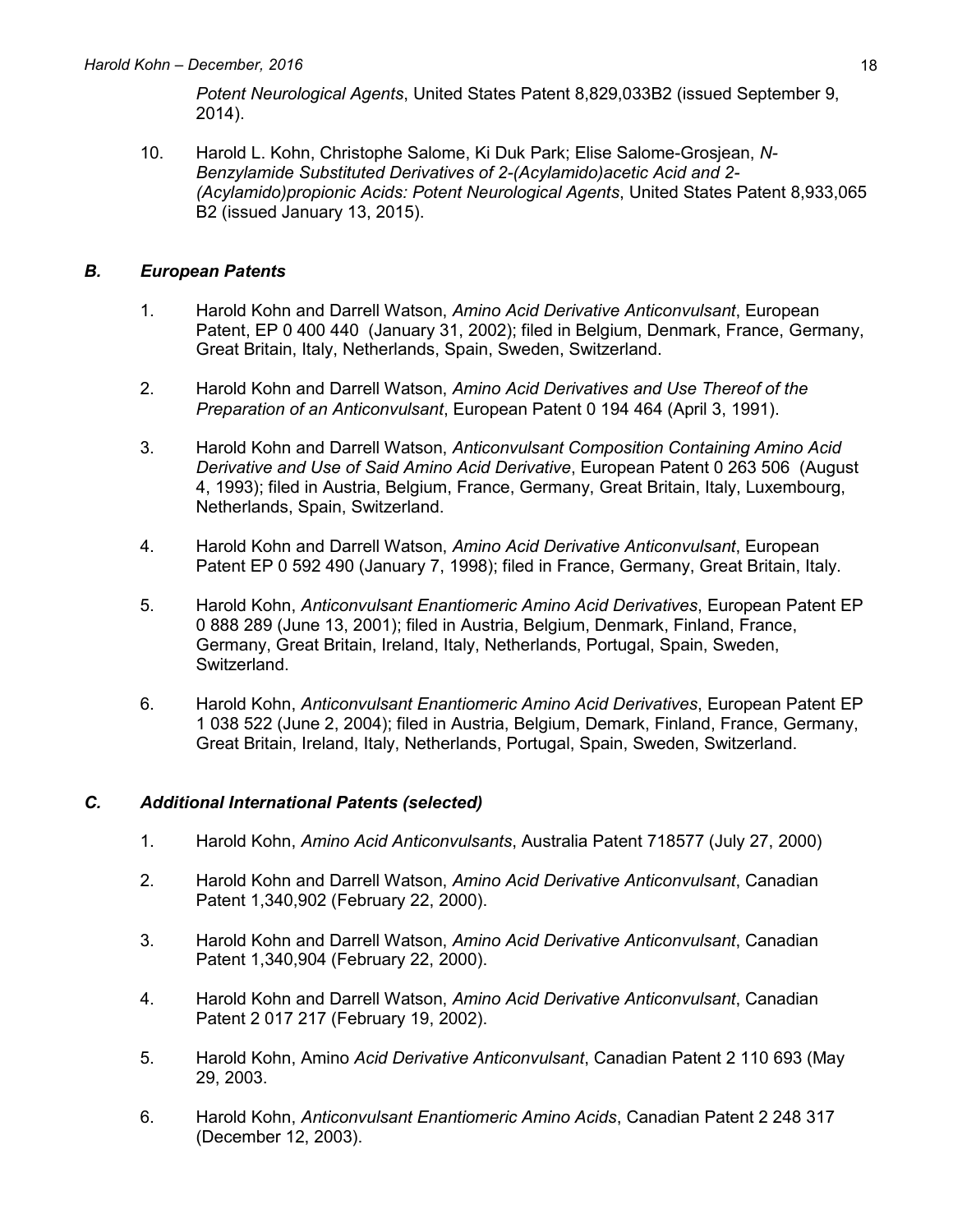*Potent Neurological Agents*, United States Patent 8,829,033B2 (issued September 9, 2014).

10. Harold L. Kohn, Christophe Salome, Ki Duk Park; Elise Salome-Grosjean, *N-Benzylamide Substituted Derivatives of 2-(Acylamido)acetic Acid and 2- (Acylamido)propionic Acids: Potent Neurological Agents*, United States Patent 8,933,065 B2 (issued January 13, 2015).

### *B. European Patents*

- 1. Harold Kohn and Darrell Watson, *Amino Acid Derivative Anticonvulsant*, European Patent, EP 0 400 440 (January 31, 2002); filed in Belgium, Denmark, France, Germany, Great Britain, Italy, Netherlands, Spain, Sweden, Switzerland.
- 2. Harold Kohn and Darrell Watson, *Amino Acid Derivatives and Use Thereof of the Preparation of an Anticonvulsant*, European Patent 0 194 464 (April 3, 1991).
- 3. Harold Kohn and Darrell Watson, *Anticonvulsant Composition Containing Amino Acid Derivative and Use of Said Amino Acid Derivative*, European Patent 0 263 506 (August 4, 1993); filed in Austria, Belgium, France, Germany, Great Britain, Italy, Luxembourg, Netherlands, Spain, Switzerland.
- 4. Harold Kohn and Darrell Watson, *Amino Acid Derivative Anticonvulsant*, European Patent EP 0 592 490 (January 7, 1998); filed in France, Germany, Great Britain, Italy.
- 5. Harold Kohn, *Anticonvulsant Enantiomeric Amino Acid Derivatives*, European Patent EP 0 888 289 (June 13, 2001); filed in Austria, Belgium, Denmark, Finland, France, Germany, Great Britain, Ireland, Italy, Netherlands, Portugal, Spain, Sweden, Switzerland.
- 6. Harold Kohn, *Anticonvulsant Enantiomeric Amino Acid Derivatives*, European Patent EP 1 038 522 (June 2, 2004); filed in Austria, Belgium, Demark, Finland, France, Germany, Great Britain, Ireland, Italy, Netherlands, Portugal, Spain, Sweden, Switzerland.

## *C. Additional International Patents (selected)*

- 1. Harold Kohn, *Amino Acid Anticonvulsants*, Australia Patent 718577 (July 27, 2000)
- 2. Harold Kohn and Darrell Watson, *Amino Acid Derivative Anticonvulsant*, Canadian Patent 1,340,902 (February 22, 2000).
- 3. Harold Kohn and Darrell Watson, *Amino Acid Derivative Anticonvulsant*, Canadian Patent 1,340,904 (February 22, 2000).
- 4. Harold Kohn and Darrell Watson, *Amino Acid Derivative Anticonvulsant*, Canadian Patent 2 017 217 (February 19, 2002).
- 5. Harold Kohn, Amino *Acid Derivative Anticonvulsant*, Canadian Patent 2 110 693 (May 29, 2003.
- 6. Harold Kohn, *Anticonvulsant Enantiomeric Amino Acids*, Canadian Patent 2 248 317 (December 12, 2003).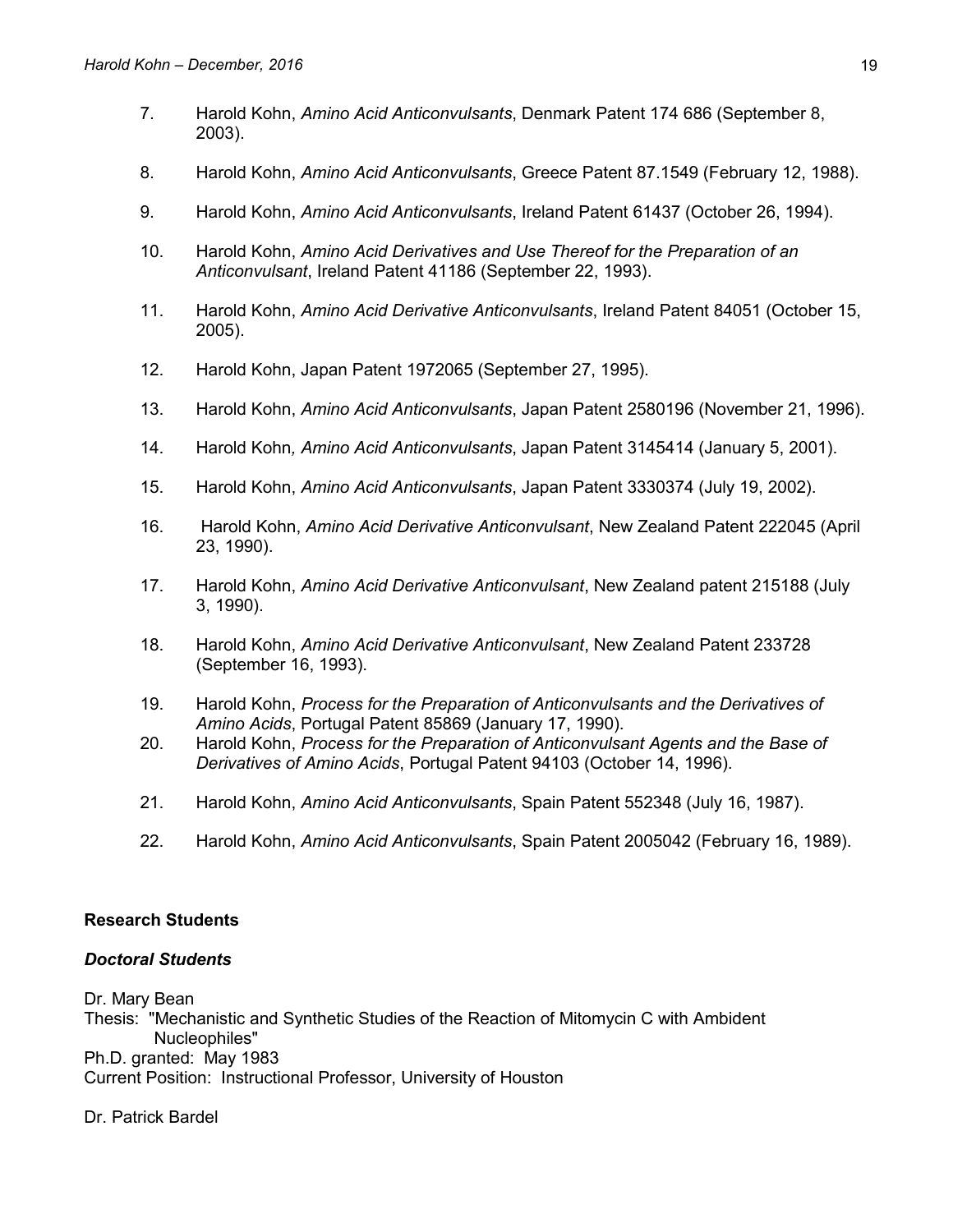- 7. Harold Kohn, *Amino Acid Anticonvulsants*, Denmark Patent 174 686 (September 8, 2003).
- 8. Harold Kohn, *Amino Acid Anticonvulsants*, Greece Patent 87.1549 (February 12, 1988).
- 9. Harold Kohn, *Amino Acid Anticonvulsants*, Ireland Patent 61437 (October 26, 1994).
- 10. Harold Kohn, *Amino Acid Derivatives and Use Thereof for the Preparation of an Anticonvulsant*, Ireland Patent 41186 (September 22, 1993).
- 11. Harold Kohn, *Amino Acid Derivative Anticonvulsants*, Ireland Patent 84051 (October 15, 2005).
- 12. Harold Kohn, Japan Patent 1972065 (September 27, 1995).
- 13. Harold Kohn, *Amino Acid Anticonvulsants*, Japan Patent 2580196 (November 21, 1996).
- 14. Harold Kohn*, Amino Acid Anticonvulsants*, Japan Patent 3145414 (January 5, 2001).
- 15. Harold Kohn, *Amino Acid Anticonvulsants*, Japan Patent 3330374 (July 19, 2002).
- 16. Harold Kohn, *Amino Acid Derivative Anticonvulsant*, New Zealand Patent 222045 (April 23, 1990).
- 17. Harold Kohn, *Amino Acid Derivative Anticonvulsant*, New Zealand patent 215188 (July 3, 1990).
- 18. Harold Kohn, *Amino Acid Derivative Anticonvulsant*, New Zealand Patent 233728 (September 16, 1993).
- 19. Harold Kohn, *Process for the Preparation of Anticonvulsants and the Derivatives of Amino Acids*, Portugal Patent 85869 (January 17, 1990).
- 20. Harold Kohn, *Process for the Preparation of Anticonvulsant Agents and the Base of Derivatives of Amino Acids*, Portugal Patent 94103 (October 14, 1996).
- 21. Harold Kohn, *Amino Acid Anticonvulsants*, Spain Patent 552348 (July 16, 1987).
- 22. Harold Kohn, *Amino Acid Anticonvulsants*, Spain Patent 2005042 (February 16, 1989).

#### **Research Students**

#### *Doctoral Students*

Dr. Mary Bean

Thesis: "Mechanistic and Synthetic Studies of the Reaction of Mitomycin C with Ambident Nucleophiles" Ph.D. granted: May 1983

Current Position: Instructional Professor, University of Houston

Dr. Patrick Bardel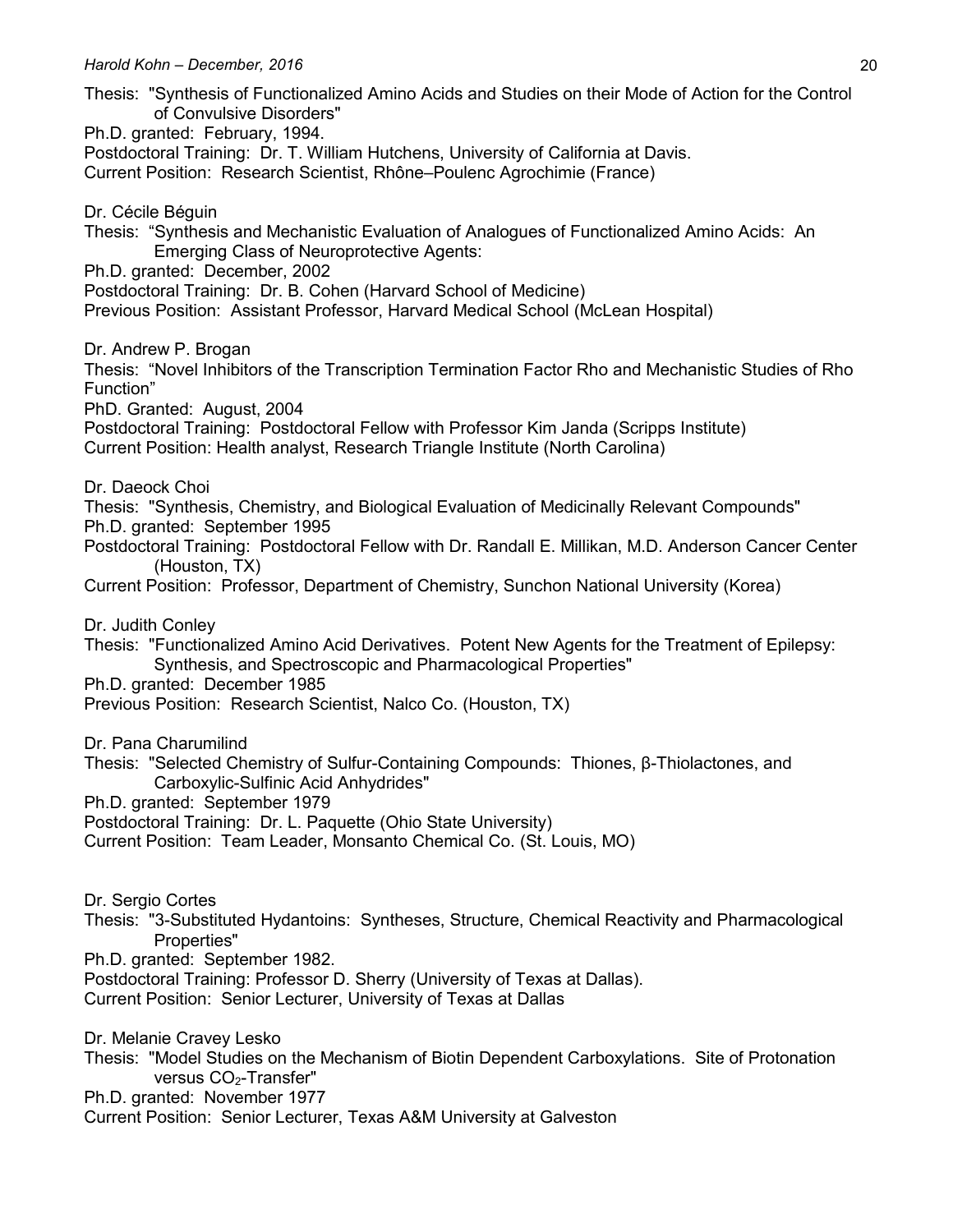- *Harold Kohn – December, 2016* 20 Thesis: "Synthesis of Functionalized Amino Acids and Studies on their Mode of Action for the Control of Convulsive Disorders" Ph.D. granted: February, 1994. Postdoctoral Training: Dr. T. William Hutchens, University of California at Davis. Current Position: Research Scientist, Rhône–Poulenc Agrochimie (France) Dr. Cécile Béguin Thesis: "Synthesis and Mechanistic Evaluation of Analogues of Functionalized Amino Acids: An Emerging Class of Neuroprotective Agents: Ph.D. granted: December, 2002 Postdoctoral Training: Dr. B. Cohen (Harvard School of Medicine) Previous Position: Assistant Professor, Harvard Medical School (McLean Hospital) Dr. Andrew P. Brogan Thesis: "Novel Inhibitors of the Transcription Termination Factor Rho and Mechanistic Studies of Rho Function" PhD. Granted: August, 2004 Postdoctoral Training: Postdoctoral Fellow with Professor Kim Janda (Scripps Institute) Current Position: Health analyst, Research Triangle Institute (North Carolina) Dr. Daeock Choi Thesis: "Synthesis, Chemistry, and Biological Evaluation of Medicinally Relevant Compounds" Ph.D. granted: September 1995 Postdoctoral Training: Postdoctoral Fellow with Dr. Randall E. Millikan, M.D. Anderson Cancer Center (Houston, TX) Current Position: Professor, Department of Chemistry, Sunchon National University (Korea) Dr. Judith Conley Thesis: "Functionalized Amino Acid Derivatives. Potent New Agents for the Treatment of Epilepsy: Synthesis, and Spectroscopic and Pharmacological Properties" Ph.D. granted: December 1985 Previous Position: Research Scientist, Nalco Co. (Houston, TX) Dr. Pana Charumilind Thesis: "Selected Chemistry of Sulfur-Containing Compounds: Thiones, β-Thiolactones, and Carboxylic-Sulfinic Acid Anhydrides" Ph.D. granted: September 1979 Postdoctoral Training: Dr. L. Paquette (Ohio State University) Current Position: Team Leader, Monsanto Chemical Co. (St. Louis, MO) Dr. Sergio Cortes Thesis: "3-Substituted Hydantoins: Syntheses, Structure, Chemical Reactivity and Pharmacological Properties" Ph.D. granted: September 1982. Postdoctoral Training: Professor D. Sherry (University of Texas at Dallas). Current Position: Senior Lecturer, University of Texas at Dallas Dr. Melanie Cravey Lesko Thesis: "Model Studies on the Mechanism of Biotin Dependent Carboxylations. Site of Protonation versus CO2-Transfer" Ph.D. granted: November 1977
- Current Position: Senior Lecturer, Texas A&M University at Galveston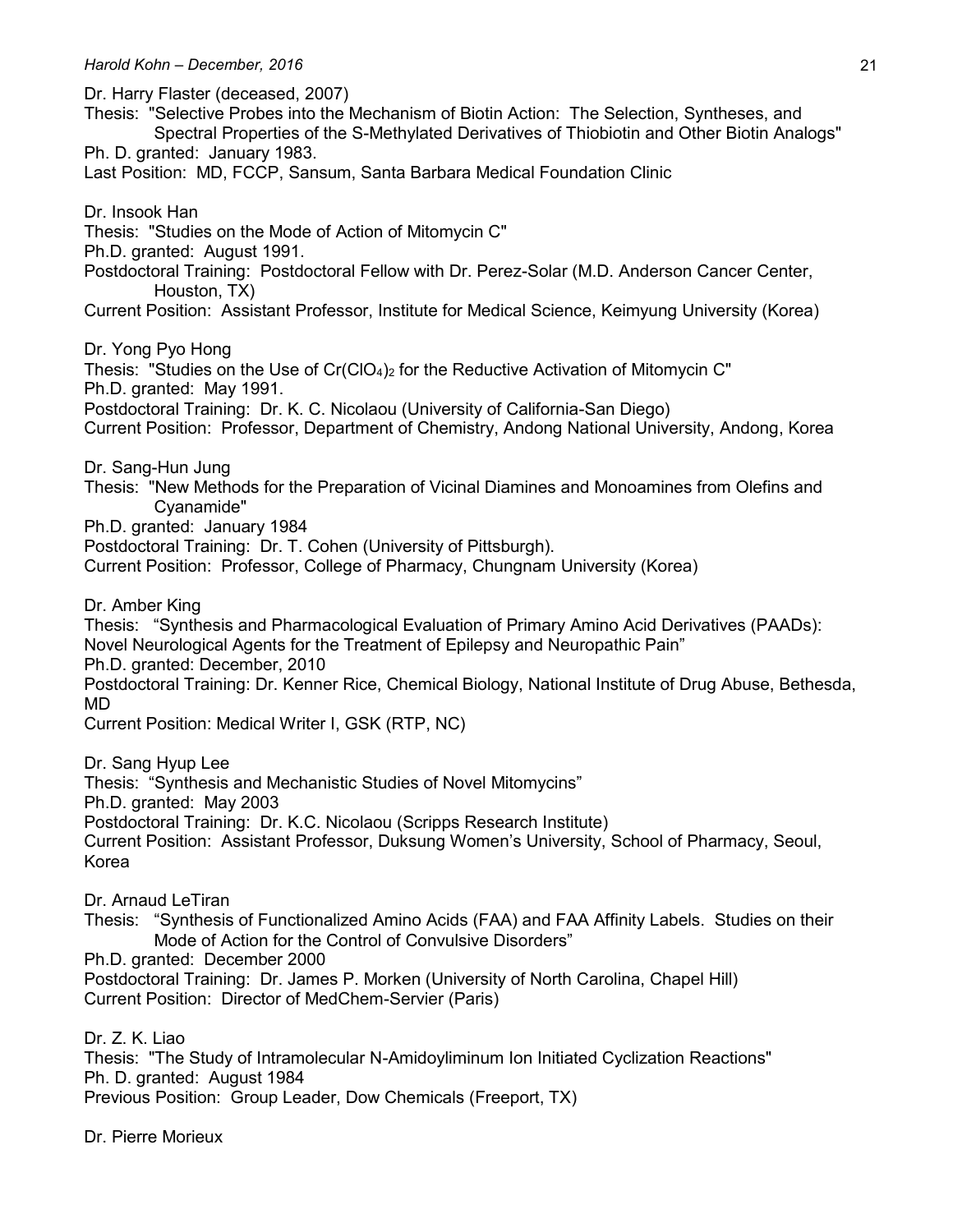Dr. Harry Flaster (deceased, 2007)

Thesis: "Selective Probes into the Mechanism of Biotin Action: The Selection, Syntheses, and Spectral Properties of the S-Methylated Derivatives of Thiobiotin and Other Biotin Analogs"

Ph. D. granted: January 1983.

Last Position: MD, FCCP, Sansum, Santa Barbara Medical Foundation Clinic

Dr. Insook Han

Thesis: "Studies on the Mode of Action of Mitomycin C"

Ph.D. granted: August 1991.

Postdoctoral Training: Postdoctoral Fellow with Dr. Perez-Solar (M.D. Anderson Cancer Center, Houston, TX)

Current Position: Assistant Professor, Institute for Medical Science, Keimyung University (Korea)

Dr. Yong Pyo Hong

Thesis: "Studies on the Use of  $Cr(CIO<sub>4</sub>)<sub>2</sub>$  for the Reductive Activation of Mitomycin C" Ph.D. granted: May 1991.

Postdoctoral Training: Dr. K. C. Nicolaou (University of California-San Diego)

Current Position: Professor, Department of Chemistry, Andong National University, Andong, Korea

Dr. Sang-Hun Jung

Thesis: "New Methods for the Preparation of Vicinal Diamines and Monoamines from Olefins and Cyanamide"

Ph.D. granted: January 1984

Postdoctoral Training: Dr. T. Cohen (University of Pittsburgh).

Current Position: Professor, College of Pharmacy, Chungnam University (Korea)

Dr. Amber King

Thesis: "Synthesis and Pharmacological Evaluation of Primary Amino Acid Derivatives (PAADs): Novel Neurological Agents for the Treatment of Epilepsy and Neuropathic Pain" Ph.D. granted: December, 2010

Postdoctoral Training: Dr. Kenner Rice, Chemical Biology, National Institute of Drug Abuse, Bethesda, MD

Current Position: Medical Writer I, GSK (RTP, NC)

Dr. Sang Hyup Lee

Thesis: "Synthesis and Mechanistic Studies of Novel Mitomycins"

Ph.D. granted: May 2003

Postdoctoral Training: Dr. K.C. Nicolaou (Scripps Research Institute)

Current Position: Assistant Professor, Duksung Women's University, School of Pharmacy, Seoul, Korea

Dr. Arnaud LeTiran

Thesis: "Synthesis of Functionalized Amino Acids (FAA) and FAA Affinity Labels. Studies on their Mode of Action for the Control of Convulsive Disorders"

Ph.D. granted: December 2000

Postdoctoral Training: Dr. James P. Morken (University of North Carolina, Chapel Hill) Current Position: Director of MedChem-Servier (Paris)

Dr. 7 K. Liao

Thesis: "The Study of Intramolecular N-Amidoyliminum Ion Initiated Cyclization Reactions" Ph. D. granted: August 1984

Previous Position: Group Leader, Dow Chemicals (Freeport, TX)

Dr. Pierre Morieux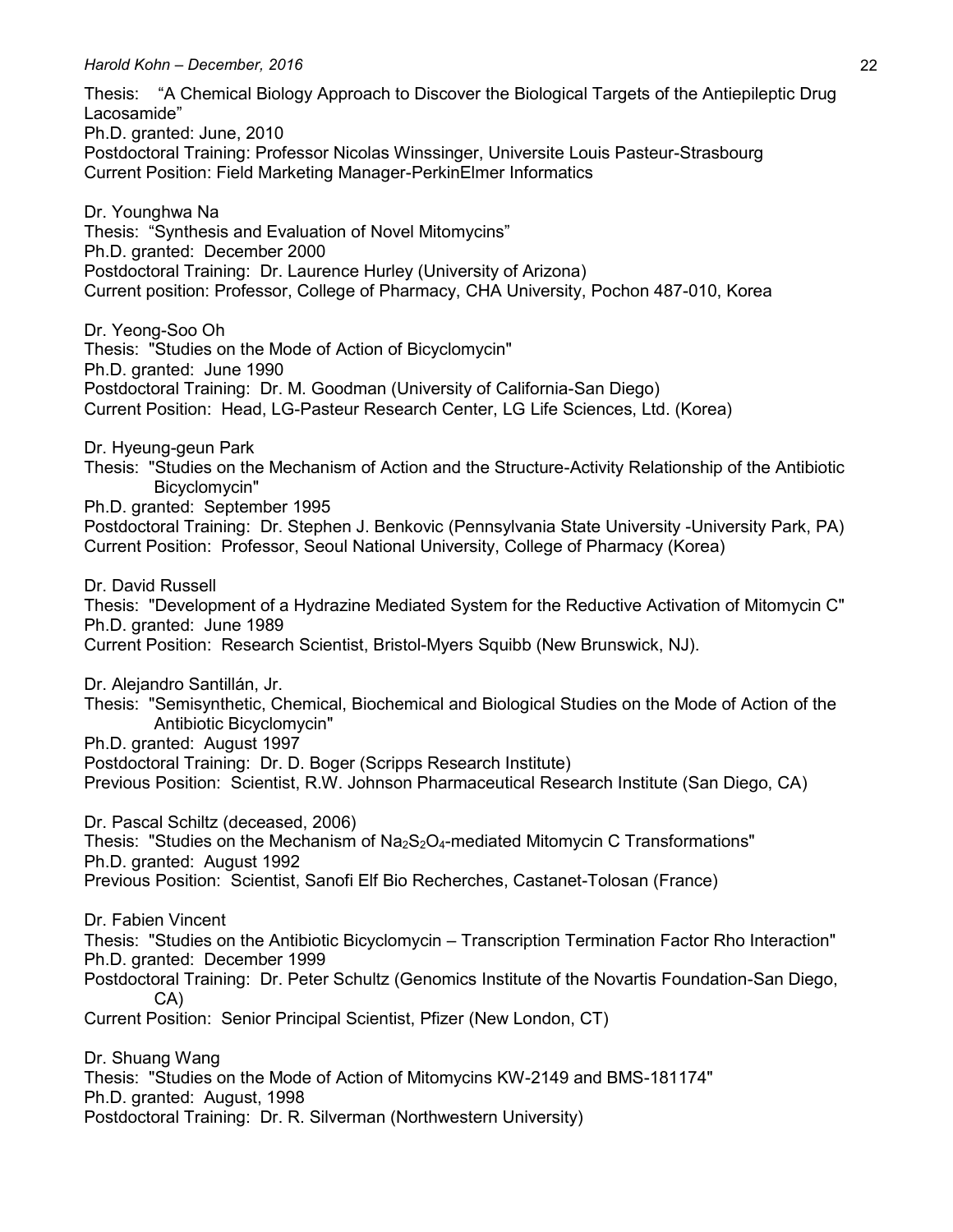Thesis: "A Chemical Biology Approach to Discover the Biological Targets of the Antiepileptic Drug Lacosamide" Ph.D. granted: June, 2010 Postdoctoral Training: Professor Nicolas Winssinger, Universite Louis Pasteur-Strasbourg Current Position: Field Marketing Manager-PerkinElmer Informatics Dr. Younghwa Na Thesis: "Synthesis and Evaluation of Novel Mitomycins" Ph.D. granted: December 2000 Postdoctoral Training: Dr. Laurence Hurley (University of Arizona) Current position: Professor, College of Pharmacy, CHA University, Pochon 487-010, Korea Dr. Yeong-Soo Oh Thesis: "Studies on the Mode of Action of Bicyclomycin" Ph.D. granted: June 1990 Postdoctoral Training: Dr. M. Goodman (University of California-San Diego) Current Position: Head, LG-Pasteur Research Center, LG Life Sciences, Ltd. (Korea) Dr. Hyeung-geun Park Thesis: "Studies on the Mechanism of Action and the Structure-Activity Relationship of the Antibiotic Bicyclomycin" Ph.D. granted: September 1995 Postdoctoral Training: Dr. Stephen J. Benkovic (Pennsylvania State University -University Park, PA) Current Position: Professor, Seoul National University, College of Pharmacy (Korea) Dr. David Russell Thesis: "Development of a Hydrazine Mediated System for the Reductive Activation of Mitomycin C" Ph.D. granted: June 1989 Current Position: Research Scientist, Bristol-Myers Squibb (New Brunswick, NJ). Dr. Alejandro Santillán, Jr. Thesis: "Semisynthetic, Chemical, Biochemical and Biological Studies on the Mode of Action of the Antibiotic Bicyclomycin" Ph.D. granted: August 1997 Postdoctoral Training: Dr. D. Boger (Scripps Research Institute) Previous Position: Scientist, R.W. Johnson Pharmaceutical Research Institute (San Diego, CA) Dr. Pascal Schiltz (deceased, 2006) Thesis: "Studies on the Mechanism of  $Na_2S_2O_4$ -mediated Mitomycin C Transformations" Ph.D. granted: August 1992 Previous Position: Scientist, Sanofi Elf Bio Recherches, Castanet-Tolosan (France) Dr. Fabien Vincent Thesis: "Studies on the Antibiotic Bicyclomycin – Transcription Termination Factor Rho Interaction" Ph.D. granted: December 1999 Postdoctoral Training: Dr. Peter Schultz (Genomics Institute of the Novartis Foundation-San Diego, CA) Current Position: Senior Principal Scientist, Pfizer (New London, CT) Dr. Shuang Wang Thesis: "Studies on the Mode of Action of Mitomycins KW-2149 and BMS-181174" Ph.D. granted: August, 1998 Postdoctoral Training: Dr. R. Silverman (Northwestern University)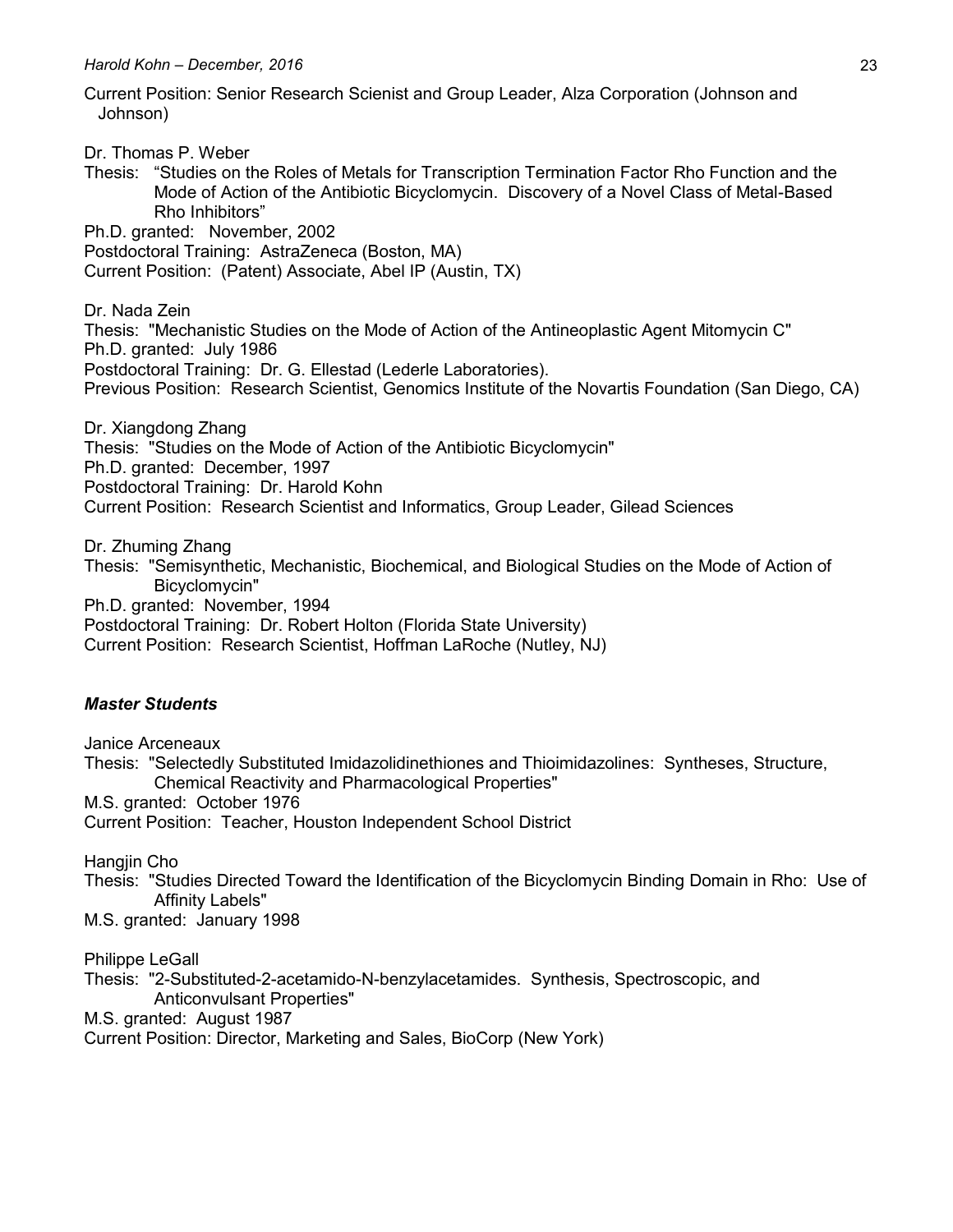Current Position: Senior Research Scienist and Group Leader, Alza Corporation (Johnson and Johnson)

Dr. Thomas P. Weber

Thesis: "Studies on the Roles of Metals for Transcription Termination Factor Rho Function and the Mode of Action of the Antibiotic Bicyclomycin. Discovery of a Novel Class of Metal-Based Rho Inhibitors"

Ph.D. granted: November, 2002

Postdoctoral Training: AstraZeneca (Boston, MA)

Current Position: (Patent) Associate, Abel IP (Austin, TX)

Dr. Nada Zein Thesis: "Mechanistic Studies on the Mode of Action of the Antineoplastic Agent Mitomycin C" Ph.D. granted: July 1986 Postdoctoral Training: Dr. G. Ellestad (Lederle Laboratories). Previous Position: Research Scientist, Genomics Institute of the Novartis Foundation (San Diego, CA)

Dr. Xiangdong Zhang Thesis: "Studies on the Mode of Action of the Antibiotic Bicyclomycin" Ph.D. granted: December, 1997 Postdoctoral Training: Dr. Harold Kohn Current Position: Research Scientist and Informatics, Group Leader, Gilead Sciences

Dr. Zhuming Zhang

Thesis: "Semisynthetic, Mechanistic, Biochemical, and Biological Studies on the Mode of Action of Bicyclomycin"

Ph.D. granted: November, 1994

Postdoctoral Training: Dr. Robert Holton (Florida State University)

Current Position: Research Scientist, Hoffman LaRoche (Nutley, NJ)

#### *Master Students*

Janice Arceneaux Thesis: "Selectedly Substituted Imidazolidinethiones and Thioimidazolines: Syntheses, Structure, Chemical Reactivity and Pharmacological Properties" M.S. granted: October 1976 Current Position: Teacher, Houston Independent School District

Hangjin Cho

Thesis: "Studies Directed Toward the Identification of the Bicyclomycin Binding Domain in Rho: Use of Affinity Labels"

M.S. granted: January 1998

Philippe LeGall

Thesis: "2-Substituted-2-acetamido-N-benzylacetamides. Synthesis, Spectroscopic, and Anticonvulsant Properties"

M.S. granted: August 1987

Current Position: Director, Marketing and Sales, BioCorp (New York)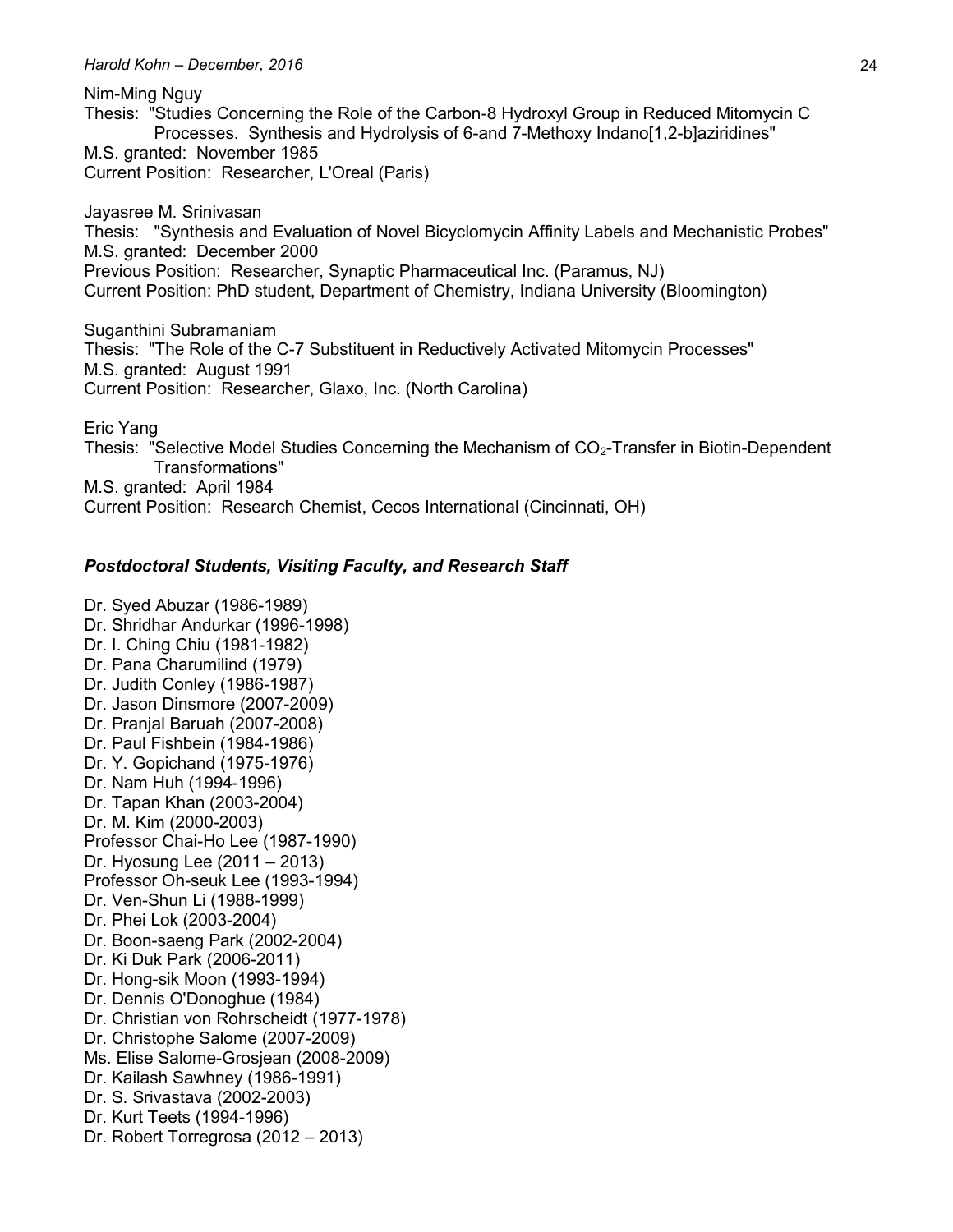Nim-Ming Nguy Thesis: "Studies Concerning the Role of the Carbon-8 Hydroxyl Group in Reduced Mitomycin C Processes. Synthesis and Hydrolysis of 6-and 7-Methoxy Indano[1,2-b]aziridines" M.S. granted: November 1985 Current Position: Researcher, L'Oreal (Paris)

Jayasree M. Srinivasan Thesis: "Synthesis and Evaluation of Novel Bicyclomycin Affinity Labels and Mechanistic Probes" M.S. granted: December 2000 Previous Position: Researcher, Synaptic Pharmaceutical Inc. (Paramus, NJ) Current Position: PhD student, Department of Chemistry, Indiana University (Bloomington)

Suganthini Subramaniam Thesis: "The Role of the C-7 Substituent in Reductively Activated Mitomycin Processes" M.S. granted: August 1991 Current Position: Researcher, Glaxo, Inc. (North Carolina)

Eric Yang

Thesis: "Selective Model Studies Concerning the Mechanism of CO<sub>2</sub>-Transfer in Biotin-Dependent Transformations" M.S. granted: April 1984

Current Position: Research Chemist, Cecos International (Cincinnati, OH)

#### *Postdoctoral Students, Visiting Faculty, and Research Staff*

Dr. Syed Abuzar (1986-1989) Dr. Shridhar Andurkar (1996-1998) Dr. I. Ching Chiu (1981-1982) Dr. Pana Charumilind (1979) Dr. Judith Conley (1986-1987) Dr. Jason Dinsmore (2007-2009) Dr. Pranjal Baruah (2007-2008) Dr. Paul Fishbein (1984-1986) Dr. Y. Gopichand (1975-1976) Dr. Nam Huh (1994-1996) Dr. Tapan Khan (2003-2004) Dr. M. Kim (2000-2003) Professor Chai-Ho Lee (1987-1990) Dr. Hyosung Lee (2011 – 2013) Professor Oh-seuk Lee (1993-1994) Dr. Ven-Shun Li (1988-1999) Dr. Phei Lok (2003-2004) Dr. Boon-saeng Park (2002-2004) Dr. Ki Duk Park (2006-2011) Dr. Hong-sik Moon (1993-1994) Dr. Dennis O'Donoghue (1984) Dr. Christian von Rohrscheidt (1977-1978) Dr. Christophe Salome (2007-2009) Ms. Elise Salome-Grosjean (2008-2009) Dr. Kailash Sawhney (1986-1991) Dr. S. Srivastava (2002-2003) Dr. Kurt Teets (1994-1996) Dr. Robert Torregrosa (2012 – 2013)